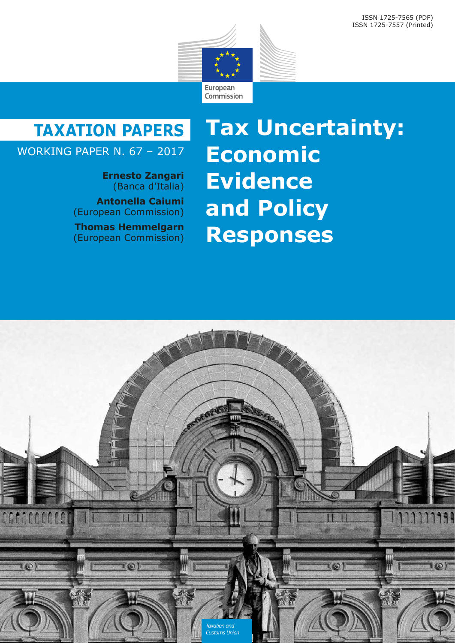

## **TAXATION PAPERS**

### WORKING PAPER N. 67 – 2017

**Ernesto Zangari** (Banca d'Italia)

**Antonella Caiumi** (European Commission)

**Thomas Hemmelgarn** (European Commission)

# **Tax Uncertainty: Economic Evidence and Policy Responses**

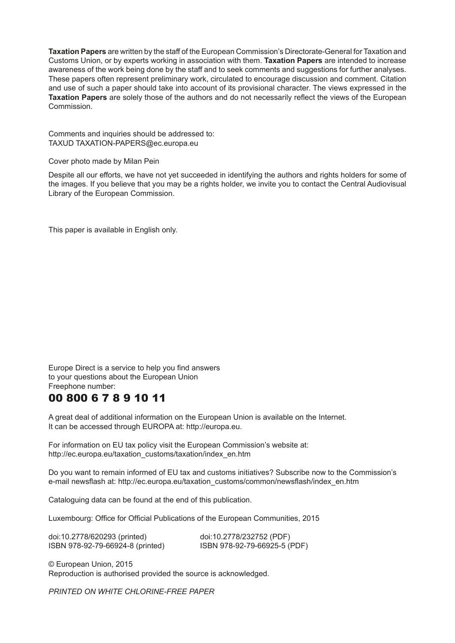**Taxation Papers** are written by the staff of the European Commission's Directorate-General for Taxation and Customs Union, or by experts working in association with them. **Taxation Papers** are intended to increase awareness of the work being done by the staff and to seek comments and suggestions for further analyses. These papers often represent preliminary work, circulated to encourage discussion and comment. Citation and use of such a paper should take into account of its provisional character. The views expressed in the **Taxation Papers** are solely those of the authors and do not necessarily reflect the views of the European Commission.

Comments and inquiries should be addressed to: TAXUD TAXATION-PAPERS@ec.europa.eu

Cover photo made by Milan Pein

Despite all our efforts, we have not yet succeeded in identifying the authors and rights holders for some of the images. If you believe that you may be a rights holder, we invite you to contact the Central Audiovisual Library of the European Commission.

This paper is available in English only.

Europe Direct is a service to help you find answers to your questions about the European Union Freephone number:

### 00 800 6 7 8 9 10 11

A great deal of additional information on the European Union is available on the Internet. It can be accessed through EUROPA at: http://europa.eu.

For information on EU tax policy visit the European Commission's website at: http://ec.europa.eu/taxation\_customs/taxation/index\_en.htm

Do you want to remain informed of EU tax and customs initiatives? Subscribe now to the Commission's e-mail newsflash at: http://ec.europa.eu/taxation\_customs/common/newsflash/index\_en.htm

Cataloguing data can be found at the end of this publication.

Luxembourg: Office for Official Publications of the European Communities, 2015

doi:10.2778/620293 (printed) doi:10.2778/232752 (PDF) ISBN 978-92-79-66924-8 (printed) ISBN 978-92-79-66925-5 (PDF)

© European Union, 2015 Reproduction is authorised provided the source is acknowledged.

*PRINTED ON WHITE CHLORINE-FREE PAPER*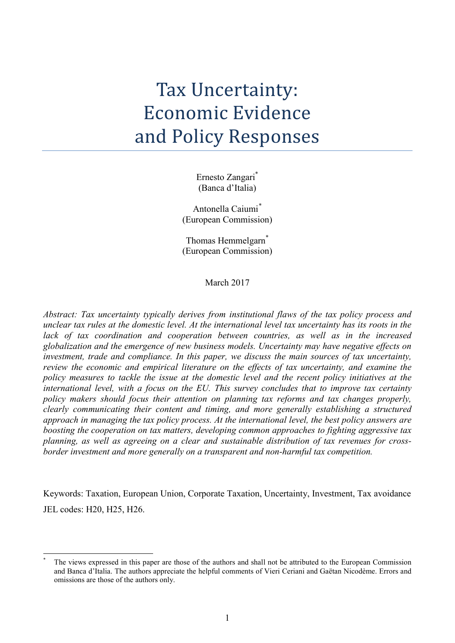# Tax Uncertainty: Economic Evidence and Policy Responses

Ernesto Zangari\* (Banca d'Italia)

Antonella Caiumi[\\*](#page-2-0) (European Commission)

Thomas Hemmelgarn<sup>\*</sup> (European Commission)

March 2017

*Abstract: Tax uncertainty typically derives from institutional flaws of the tax policy process and unclear tax rules at the domestic level. At the international level tax uncertainty has its roots in the lack of tax coordination and cooperation between countries, as well as in the increased globalization and the emergence of new business models. Uncertainty may have negative effects on investment, trade and compliance. In this paper, we discuss the main sources of tax uncertainty, review the economic and empirical literature on the effects of tax uncertainty, and examine the policy measures to tackle the issue at the domestic level and the recent policy initiatives at the international level, with a focus on the EU. This survey concludes that to improve tax certainty policy makers should focus their attention on planning tax reforms and tax changes properly, clearly communicating their content and timing, and more generally establishing a structured approach in managing the tax policy process. At the international level, the best policy answers are boosting the cooperation on tax matters, developing common approaches to fighting aggressive tax planning, as well as agreeing on a clear and sustainable distribution of tax revenues for crossborder investment and more generally on a transparent and non-harmful tax competition.*

Keywords: Taxation, European Union, Corporate Taxation, Uncertainty, Investment, Tax avoidance JEL codes: H20, H25, H26.

<span id="page-2-0"></span>-

The views expressed in this paper are those of the authors and shall not be attributed to the European Commission and Banca d'Italia. The authors appreciate the helpful comments of Vieri Ceriani and [Gaëtan Nicodème.](https://mitpress.mit.edu/authors/ga%C3%ABtan-nicod%C3%A8me) Errors and omissions are those of the authors only.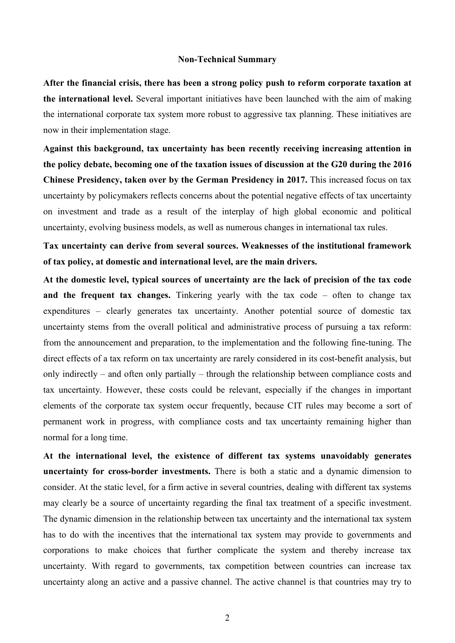#### **Non-Technical Summary**

**After the financial crisis, there has been a strong policy push to reform corporate taxation at the international level.** Several important initiatives have been launched with the aim of making the international corporate tax system more robust to aggressive tax planning. These initiatives are now in their implementation stage.

**Against this background, tax uncertainty has been recently receiving increasing attention in the policy debate, becoming one of the taxation issues of discussion at the G20 during the 2016 Chinese Presidency, taken over by the German Presidency in 2017.** This increased focus on tax uncertainty by policymakers reflects concerns about the potential negative effects of tax uncertainty on investment and trade as a result of the interplay of high global economic and political uncertainty, evolving business models, as well as numerous changes in international tax rules.

**Tax uncertainty can derive from several sources. Weaknesses of the institutional framework of tax policy, at domestic and international level, are the main drivers.** 

**At the domestic level, typical sources of uncertainty are the lack of precision of the tax code and the frequent tax changes.** Tinkering yearly with the tax code – often to change tax expenditures – clearly generates tax uncertainty. Another potential source of domestic tax uncertainty stems from the overall political and administrative process of pursuing a tax reform: from the announcement and preparation, to the implementation and the following fine-tuning. The direct effects of a tax reform on tax uncertainty are rarely considered in its cost-benefit analysis, but only indirectly – and often only partially – through the relationship between compliance costs and tax uncertainty. However, these costs could be relevant, especially if the changes in important elements of the corporate tax system occur frequently, because CIT rules may become a sort of permanent work in progress, with compliance costs and tax uncertainty remaining higher than normal for a long time.

**At the international level, the existence of different tax systems unavoidably generates uncertainty for cross-border investments.** There is both a static and a dynamic dimension to consider. At the static level, for a firm active in several countries, dealing with different tax systems may clearly be a source of uncertainty regarding the final tax treatment of a specific investment. The dynamic dimension in the relationship between tax uncertainty and the international tax system has to do with the incentives that the international tax system may provide to governments and corporations to make choices that further complicate the system and thereby increase tax uncertainty. With regard to governments, tax competition between countries can increase tax uncertainty along an active and a passive channel. The active channel is that countries may try to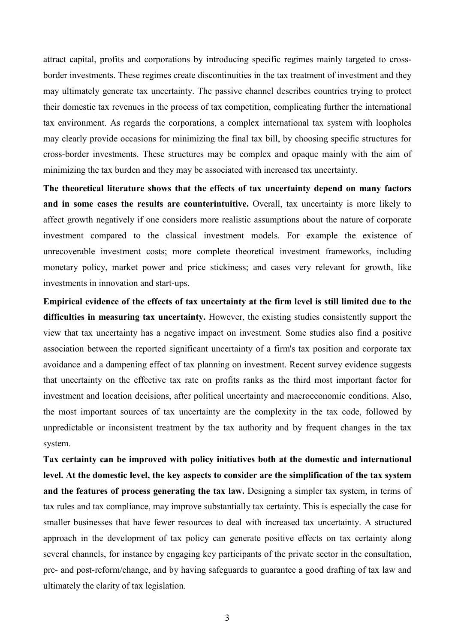attract capital, profits and corporations by introducing specific regimes mainly targeted to crossborder investments. These regimes create discontinuities in the tax treatment of investment and they may ultimately generate tax uncertainty. The passive channel describes countries trying to protect their domestic tax revenues in the process of tax competition, complicating further the international tax environment. As regards the corporations, a complex international tax system with loopholes may clearly provide occasions for minimizing the final tax bill, by choosing specific structures for cross-border investments. These structures may be complex and opaque mainly with the aim of minimizing the tax burden and they may be associated with increased tax uncertainty.

**The theoretical literature shows that the effects of tax uncertainty depend on many factors and in some cases the results are counterintuitive.** Overall, tax uncertainty is more likely to affect growth negatively if one considers more realistic assumptions about the nature of corporate investment compared to the classical investment models. For example the existence of unrecoverable investment costs; more complete theoretical investment frameworks, including monetary policy, market power and price stickiness; and cases very relevant for growth, like investments in innovation and start-ups.

**Empirical evidence of the effects of tax uncertainty at the firm level is still limited due to the difficulties in measuring tax uncertainty.** However, the existing studies consistently support the view that tax uncertainty has a negative impact on investment. Some studies also find a positive association between the reported significant uncertainty of a firm's tax position and corporate tax avoidance and a dampening effect of tax planning on investment. Recent survey evidence suggests that uncertainty on the effective tax rate on profits ranks as the third most important factor for investment and location decisions, after political uncertainty and macroeconomic conditions. Also, the most important sources of tax uncertainty are the complexity in the tax code, followed by unpredictable or inconsistent treatment by the tax authority and by frequent changes in the tax system.

**Tax certainty can be improved with policy initiatives both at the domestic and international level. At the domestic level, the key aspects to consider are the simplification of the tax system and the features of process generating the tax law.** Designing a simpler tax system, in terms of tax rules and tax compliance, may improve substantially tax certainty. This is especially the case for smaller businesses that have fewer resources to deal with increased tax uncertainty. A structured approach in the development of tax policy can generate positive effects on tax certainty along several channels, for instance by engaging key participants of the private sector in the consultation, pre- and post-reform/change, and by having safeguards to guarantee a good drafting of tax law and ultimately the clarity of tax legislation.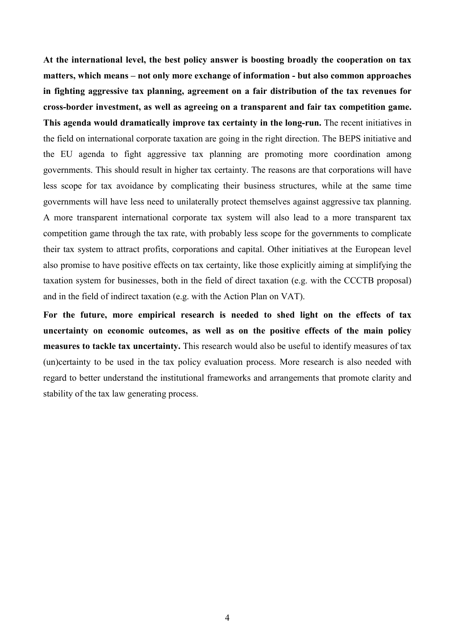**At the international level, the best policy answer is boosting broadly the cooperation on tax matters, which means – not only more exchange of information - but also common approaches in fighting aggressive tax planning, agreement on a fair distribution of the tax revenues for cross-border investment, as well as agreeing on a transparent and fair tax competition game. This agenda would dramatically improve tax certainty in the long-run.** The recent initiatives in the field on international corporate taxation are going in the right direction. The BEPS initiative and the EU agenda to fight aggressive tax planning are promoting more coordination among governments. This should result in higher tax certainty. The reasons are that corporations will have less scope for tax avoidance by complicating their business structures, while at the same time governments will have less need to unilaterally protect themselves against aggressive tax planning. A more transparent international corporate tax system will also lead to a more transparent tax competition game through the tax rate, with probably less scope for the governments to complicate their tax system to attract profits, corporations and capital. Other initiatives at the European level also promise to have positive effects on tax certainty, like those explicitly aiming at simplifying the taxation system for businesses, both in the field of direct taxation (e.g. with the CCCTB proposal) and in the field of indirect taxation (e.g. with the Action Plan on VAT).

**For the future, more empirical research is needed to shed light on the effects of tax uncertainty on economic outcomes, as well as on the positive effects of the main policy measures to tackle tax uncertainty.** This research would also be useful to identify measures of tax (un)certainty to be used in the tax policy evaluation process. More research is also needed with regard to better understand the institutional frameworks and arrangements that promote clarity and stability of the tax law generating process.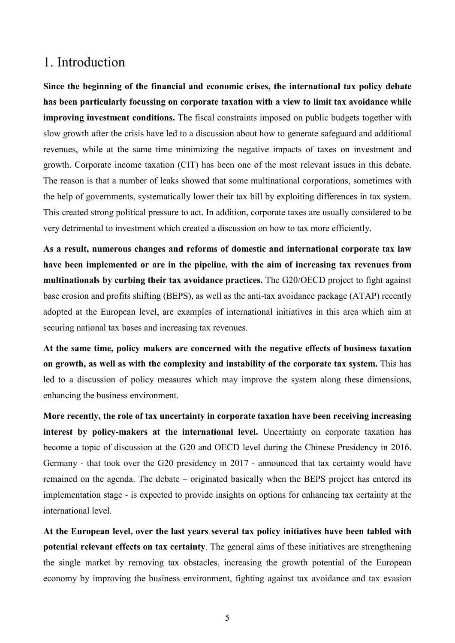### 1. Introduction

**Since the beginning of the financial and economic crises, the international tax policy debate has been particularly focussing on corporate taxation with a view to limit tax avoidance while improving investment conditions.** The fiscal constraints imposed on public budgets together with slow growth after the crisis have led to a discussion about how to generate safeguard and additional revenues, while at the same time minimizing the negative impacts of taxes on investment and growth. Corporate income taxation (CIT) has been one of the most relevant issues in this debate. The reason is that a number of leaks showed that some multinational corporations, sometimes with the help of governments, systematically lower their tax bill by exploiting differences in tax system. This created strong political pressure to act. In addition, corporate taxes are usually considered to be very detrimental to investment which created a discussion on how to tax more efficiently.

**As a result, numerous changes and reforms of domestic and international corporate tax law have been implemented or are in the pipeline, with the aim of increasing tax revenues from multinationals by curbing their tax avoidance practices.** The G20/OECD project to fight against base erosion and profits shifting (BEPS), as well as the anti-tax avoidance package (ATAP) recently adopted at the European level, are examples of international initiatives in this area which aim at securing national tax bases and increasing tax revenues*.* 

**At the same time, policy makers are concerned with the negative effects of business taxation on growth, as well as with the complexity and instability of the corporate tax system.** This has led to a discussion of policy measures which may improve the system along these dimensions, enhancing the business environment.

**More recently, the role of tax uncertainty in corporate taxation have been receiving increasing interest by policy-makers at the international level.** Uncertainty on corporate taxation has become a topic of discussion at the G20 and OECD level during the Chinese Presidency in 2016. Germany - that took over the G20 presidency in 2017 - announced that tax certainty would have remained on the agenda. The debate – originated basically when the BEPS project has entered its implementation stage - is expected to provide insights on options for enhancing tax certainty at the international level.

**At the European level, over the last years several tax policy initiatives have been tabled with potential relevant effects on tax certainty**. The general aims of these initiatives are strengthening the single market by removing tax obstacles, increasing the growth potential of the European economy by improving the business environment, fighting against tax avoidance and tax evasion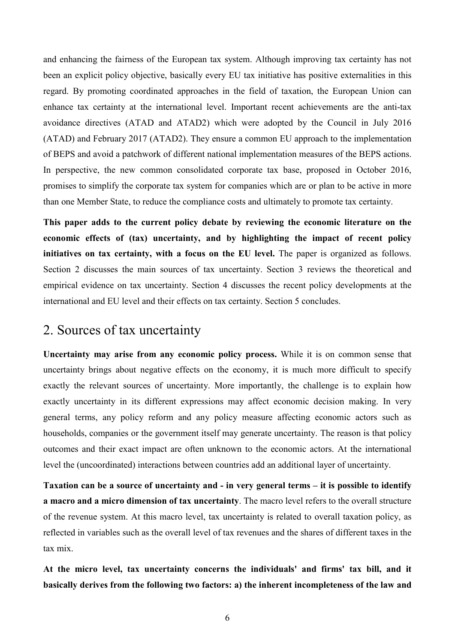and enhancing the fairness of the European tax system. Although improving tax certainty has not been an explicit policy objective, basically every EU tax initiative has positive externalities in this regard. By promoting coordinated approaches in the field of taxation, the European Union can enhance tax certainty at the international level. Important recent achievements are the anti-tax avoidance directives (ATAD and ATAD2) which were adopted by the Council in July 2016 (ATAD) and February 2017 (ATAD2). They ensure a common EU approach to the implementation of BEPS and avoid a patchwork of different national implementation measures of the BEPS actions. In perspective, the new common consolidated corporate tax base, proposed in October 2016, promises to simplify the corporate tax system for companies which are or plan to be active in more than one Member State, to reduce the compliance costs and ultimately to promote tax certainty.

**This paper adds to the current policy debate by reviewing the economic literature on the economic effects of (tax) uncertainty, and by highlighting the impact of recent policy initiatives on tax certainty, with a focus on the EU level.** The paper is organized as follows. Section 2 discusses the main sources of tax uncertainty. Section 3 reviews the theoretical and empirical evidence on tax uncertainty. Section 4 discusses the recent policy developments at the international and EU level and their effects on tax certainty. Section 5 concludes.

### 2. Sources of tax uncertainty

**Uncertainty may arise from any economic policy process.** While it is on common sense that uncertainty brings about negative effects on the economy, it is much more difficult to specify exactly the relevant sources of uncertainty. More importantly, the challenge is to explain how exactly uncertainty in its different expressions may affect economic decision making. In very general terms, any policy reform and any policy measure affecting economic actors such as households, companies or the government itself may generate uncertainty. The reason is that policy outcomes and their exact impact are often unknown to the economic actors. At the international level the (uncoordinated) interactions between countries add an additional layer of uncertainty.

**Taxation can be a source of uncertainty and - in very general terms – it is possible to identify a macro and a micro dimension of tax uncertainty**. The macro level refers to the overall structure of the revenue system. At this macro level, tax uncertainty is related to overall taxation policy, as reflected in variables such as the overall level of tax revenues and the shares of different taxes in the tax mix.

**At the micro level, tax uncertainty concerns the individuals' and firms' tax bill, and it basically derives from the following two factors: a) the inherent incompleteness of the law and**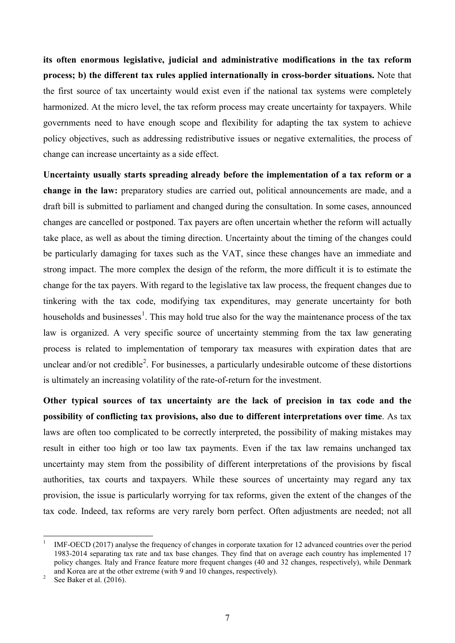**its often enormous legislative, judicial and administrative modifications in the tax reform process; b) the different tax rules applied internationally in cross-border situations.** Note that the first source of tax uncertainty would exist even if the national tax systems were completely harmonized. At the micro level, the tax reform process may create uncertainty for taxpayers. While governments need to have enough scope and flexibility for adapting the tax system to achieve policy objectives, such as addressing redistributive issues or negative externalities, the process of change can increase uncertainty as a side effect.

**Uncertainty usually starts spreading already before the implementation of a tax reform or a change in the law:** preparatory studies are carried out, political announcements are made, and a draft bill is submitted to parliament and changed during the consultation. In some cases, announced changes are cancelled or postponed. Tax payers are often uncertain whether the reform will actually take place, as well as about the timing direction. Uncertainty about the timing of the changes could be particularly damaging for taxes such as the VAT, since these changes have an immediate and strong impact. The more complex the design of the reform, the more difficult it is to estimate the change for the tax payers. With regard to the legislative tax law process, the frequent changes due to tinkering with the tax code, modifying tax expenditures, may generate uncertainty for both households and businesses<sup>[1](#page-8-0)</sup>. This may hold true also for the way the maintenance process of the tax law is organized. A very specific source of uncertainty stemming from the tax law generating process is related to implementation of temporary tax measures with expiration dates that are unclear and/or not credible<sup>[2](#page-8-1)</sup>. For businesses, a particularly undesirable outcome of these distortions is ultimately an increasing volatility of the rate-of-return for the investment.

**Other typical sources of tax uncertainty are the lack of precision in tax code and the possibility of conflicting tax provisions, also due to different interpretations over time**. As tax laws are often too complicated to be correctly interpreted, the possibility of making mistakes may result in either too high or too law tax payments. Even if the tax law remains unchanged tax uncertainty may stem from the possibility of different interpretations of the provisions by fiscal authorities, tax courts and taxpayers. While these sources of uncertainty may regard any tax provision, the issue is particularly worrying for tax reforms, given the extent of the changes of the tax code. Indeed, tax reforms are very rarely born perfect. Often adjustments are needed; not all

-

<span id="page-8-0"></span><sup>1</sup> IMF-OECD (2017) analyse the frequency of changes in corporate taxation for 12 advanced countries over the period 1983-2014 separating tax rate and tax base changes. They find that on average each country has implemented 17 policy changes. Italy and France feature more frequent changes (40 and 32 changes, respectively), while Denmark and Korea are at the other extreme (with 9 and 10 changes, respectively). See Baker et al. (2016).

<span id="page-8-1"></span>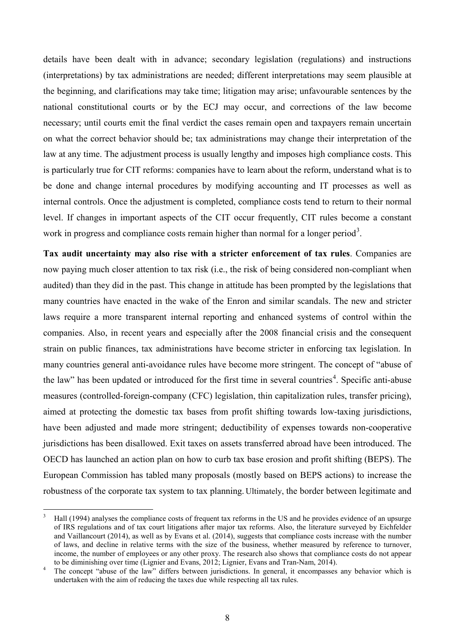details have been dealt with in advance; secondary legislation (regulations) and instructions (interpretations) by tax administrations are needed; different interpretations may seem plausible at the beginning, and clarifications may take time; litigation may arise; unfavourable sentences by the national constitutional courts or by the ECJ may occur, and corrections of the law become necessary; until courts emit the final verdict the cases remain open and taxpayers remain uncertain on what the correct behavior should be; tax administrations may change their interpretation of the law at any time. The adjustment process is usually lengthy and imposes high compliance costs. This is particularly true for CIT reforms: companies have to learn about the reform, understand what is to be done and change internal procedures by modifying accounting and IT processes as well as internal controls. Once the adjustment is completed, compliance costs tend to return to their normal level. If changes in important aspects of the CIT occur frequently, CIT rules become a constant work in progress and compliance costs remain higher than normal for a longer period<sup>[3](#page-9-0)</sup>.

**Tax audit uncertainty may also rise with a stricter enforcement of tax rules**. Companies are now paying much closer attention to tax risk (i.e., the risk of being considered non-compliant when audited) than they did in the past. This change in attitude has been prompted by the legislations that many countries have enacted in the wake of the Enron and similar scandals. The new and stricter laws require a more transparent internal reporting and enhanced systems of control within the companies. Also, in recent years and especially after the 2008 financial crisis and the consequent strain on public finances, tax administrations have become stricter in enforcing tax legislation. In many countries general anti-avoidance rules have become more stringent. The concept of "abuse of the law" has been updated or introduced for the first time in several countries<sup>[4](#page-9-1)</sup>. Specific anti-abuse measures (controlled-foreign-company (CFC) legislation, thin capitalization rules, transfer pricing), aimed at protecting the domestic tax bases from profit shifting towards low-taxing jurisdictions, have been adjusted and made more stringent; deductibility of expenses towards non-cooperative jurisdictions has been disallowed. Exit taxes on assets transferred abroad have been introduced. The OECD has launched an action plan on how to curb tax base erosion and profit shifting (BEPS). The European Commission has tabled many proposals (mostly based on BEPS actions) to increase the robustness of the corporate tax system to tax planning. Ultimately, the border between legitimate and

-

<span id="page-9-0"></span><sup>3</sup> Hall (1994) analyses the compliance costs of frequent tax reforms in the US and he provides evidence of an upsurge of IRS regulations and of tax court litigations after major tax reforms. Also, the literature surveyed by Eichfelder and Vaillancourt (2014), as well as by Evans et al. (2014), suggests that compliance costs increase with the number of laws, and decline in relative terms with the size of the business, whether measured by reference to turnover, income, the number of employees or any other proxy. The research also shows that compliance costs do not appear<br>to be diminishing over time (Lignier and Evans, 2012; Lignier, Evans and Tran-Nam, 2014).

<span id="page-9-1"></span>The concept "abuse of the law" differs between jurisdictions. In general, it encompasses any behavior which is undertaken with the aim of reducing the taxes due while respecting all tax rules.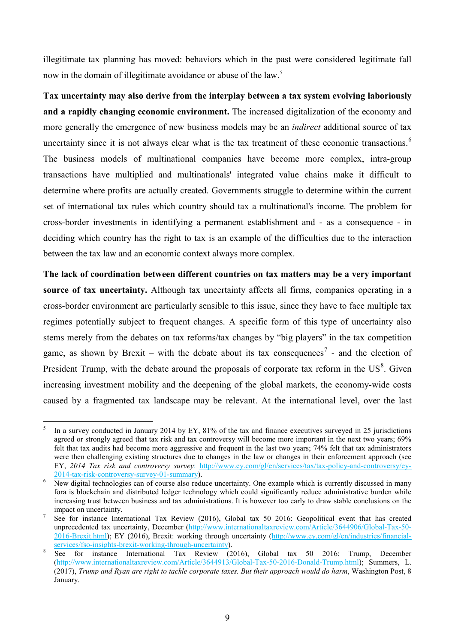illegitimate tax planning has moved: behaviors which in the past were considered legitimate fall now in the domain of illegitimate avoidance or abuse of the law.<sup>[5](#page-10-0)</sup>

**Tax uncertainty may also derive from the interplay between a tax system evolving laboriously and a rapidly changing economic environment.** The increased digitalization of the economy and more generally the emergence of new business models may be an *indirect* additional source of tax uncertainty since it is not always clear what is the tax treatment of these economic transactions.<sup>[6](#page-10-1)</sup> The business models of multinational companies have become more complex, intra-group transactions have multiplied and multinationals' integrated value chains make it difficult to determine where profits are actually created. Governments struggle to determine within the current set of international tax rules which country should tax a multinational's income. The problem for cross-border investments in identifying a permanent establishment and - as a consequence - in deciding which country has the right to tax is an example of the difficulties due to the interaction between the tax law and an economic context always more complex.

**The lack of coordination between different countries on tax matters may be a very important source of tax uncertainty.** Although tax uncertainty affects all firms, companies operating in a cross-border environment are particularly sensible to this issue, since they have to face multiple tax regimes potentially subject to frequent changes. A specific form of this type of uncertainty also stems merely from the debates on tax reforms/tax changes by "big players" in the tax competition game, as shown by Brexit – with the debate about its tax consequences<sup>[7](#page-10-2)</sup> - and the election of President Trump, with the debate around the proposals of corporate tax reform in the  $US<sup>8</sup>$  $US<sup>8</sup>$  $US<sup>8</sup>$ . Given increasing investment mobility and the deepening of the global markets, the economy-wide costs caused by a fragmented tax landscape may be relevant. At the international level, over the last

<span id="page-10-0"></span><sup>-</sup><sup>5</sup> In a survey conducted in January 2014 by EY, 81% of the tax and finance executives surveyed in 25 jurisdictions agreed or strongly agreed that tax risk and tax controversy will become more important in the next two years; 69% felt that tax audits had become more aggressive and frequent in the last two years; 74% felt that tax administrators were then challenging existing structures due to changes in the law or changes in their enforcement approach (see EY, *2014 Tax risk and controversy survey*: [http://www.ey.com/gl/en/services/tax/tax-policy-and-controversy/ey-](http://www.ey.com/gl/en/services/tax/tax-policy-and-controversy/ey-2014-tax-risk-controversy-survey-01-summary)

<span id="page-10-1"></span>New digital technologies can of course also reduce uncertainty. One example which is currently discussed in many fora is blockchain and distributed ledger technology which could significantly reduce administrative burden while increasing trust between business and tax administrations. It is however too early to draw stable conclusions on the impact on uncertainty.<br>See for instance International Tax Review (2016), Global tax 50 2016: Geopolitical event that has created

<span id="page-10-2"></span>unprecedented tax uncertainty, December [\(http://www.internationaltaxreview.com/Article/3644906/Global-Tax-50-](http://www.internationaltaxreview.com/Article/3644906/Global-Tax-50-2016-Brexit.html) [2016-Brexit.html\)](http://www.internationaltaxreview.com/Article/3644906/Global-Tax-50-2016-Brexit.html); EY (2016), Brexit: working through uncertainty (http://www.ey.com/gl/en/industries/financial-<br>services/fso-insights-brexit-working-through-uncertainty).

<span id="page-10-3"></span>[services/fso-insights-brexit-working-through-uncertainty\)](http://www.ey.com/gl/en/industries/financial-services/fso-insights-brexit-working-through-uncertainty).<br><sup>[8](http://www.ey.com/gl/en/industries/financial-services/fso-insights-brexit-working-through-uncertainty)</sup> See for instance International Tax Review (2016), Global tax 50 2016: Trump, December [\(http://www.internationaltaxreview.com/Article/3644913/Global-Tax-50-2016-Donald-Trump.html\)](http://www.internationaltaxreview.com/Article/3644913/Global-Tax-50-2016-Donald-Trump.html); Summers, L. (2017), *Trump and Ryan are right to tackle corporate taxes. But their approach would do harm*, Washington Post, 8 January.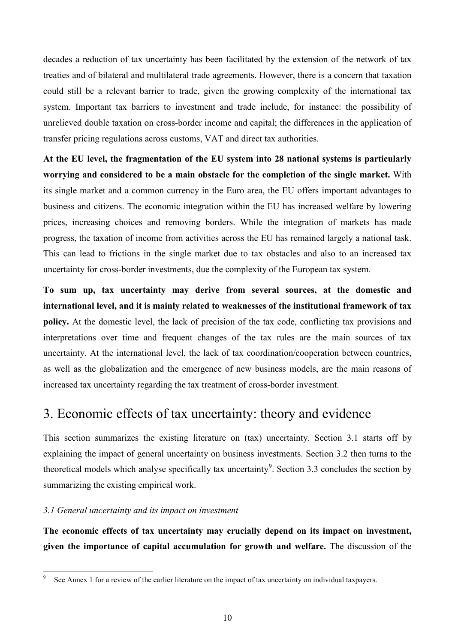decades a reduction of tax uncertainty has been facilitated by the extension of the network of tax treaties and of bilateral and multilateral trade agreements. However, there is a concern that taxation could still be a relevant barrier to trade, given the growing complexity of the international tax system. Important tax barriers to investment and trade include, for instance: the possibility of unrelieved double taxation on cross-border income and capital; the differences in the application of transfer pricing regulations across customs, VAT and direct tax authorities.

**At the EU level, the fragmentation of the EU system into 28 national systems is particularly worrying and considered to be a main obstacle for the completion of the single market.** With its single market and a common currency in the Euro area, the EU offers important advantages to business and citizens. The economic integration within the EU has increased welfare by lowering prices, increasing choices and removing borders. While the integration of markets has made progress, the taxation of income from activities across the EU has remained largely a national task. This can lead to frictions in the single market due to tax obstacles and also to an increased tax uncertainty for cross-border investments, due the complexity of the European tax system.

**To sum up, tax uncertainty may derive from several sources, at the domestic and international level, and it is mainly related to weaknesses of the institutional framework of tax policy.** At the domestic level, the lack of precision of the tax code, conflicting tax provisions and interpretations over time and frequent changes of the tax rules are the main sources of tax uncertainty. At the international level, the lack of tax coordination/cooperation between countries, as well as the globalization and the emergence of new business models, are the main reasons of increased tax uncertainty regarding the tax treatment of cross-border investment.

### 3. Economic effects of tax uncertainty: theory and evidence

This section summarizes the existing literature on (tax) uncertainty. Section 3.1 starts off by explaining the impact of general uncertainty on business investments. Section 3.2 then turns to the theoretical models which analyse specifically tax uncertainty<sup>[9](#page-11-0)</sup>. Section 3.3 concludes the section by summarizing the existing empirical work.

### *3.1 General uncertainty and its impact on investment*

**The economic effects of tax uncertainty may crucially depend on its impact on investment, given the importance of capital accumulation for growth and welfare.** The discussion of the

<span id="page-11-0"></span><sup>&</sup>lt;u>.</u> <sup>9</sup> See Annex 1 for a review of the earlier literature on the impact of tax uncertainty on individual taxpayers.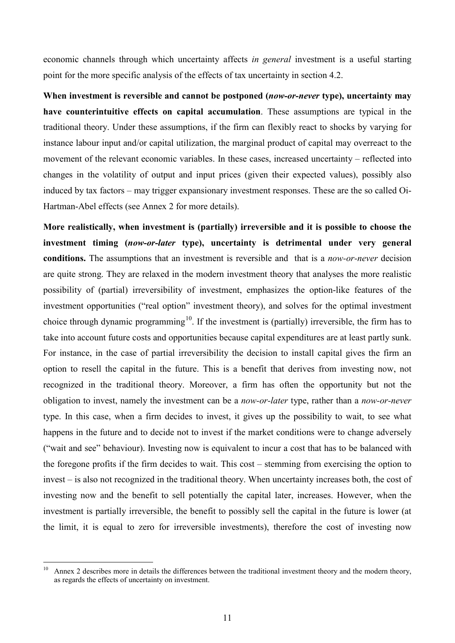economic channels through which uncertainty affects *in general* investment is a useful starting point for the more specific analysis of the effects of tax uncertainty in section 4.2.

**When investment is reversible and cannot be postponed (***now-or-never* **type), uncertainty may have counterintuitive effects on capital accumulation**. These assumptions are typical in the traditional theory. Under these assumptions, if the firm can flexibly react to shocks by varying for instance labour input and/or capital utilization, the marginal product of capital may overreact to the movement of the relevant economic variables. In these cases, increased uncertainty – reflected into changes in the volatility of output and input prices (given their expected values), possibly also induced by tax factors – may trigger expansionary investment responses. These are the so called Oi-Hartman-Abel effects (see Annex 2 for more details).

**More realistically, when investment is (partially) irreversible and it is possible to choose the investment timing (***now-or-later* **type), uncertainty is detrimental under very general conditions.** The assumptions that an investment is reversible and that is a *now-or-never* decision are quite strong. They are relaxed in the modern investment theory that analyses the more realistic possibility of (partial) irreversibility of investment, emphasizes the option-like features of the investment opportunities ("real option" investment theory), and solves for the optimal investment choice through dynamic programming<sup>[10](#page-12-0)</sup>. If the investment is (partially) irreversible, the firm has to take into account future costs and opportunities because capital expenditures are at least partly sunk. For instance, in the case of partial irreversibility the decision to install capital gives the firm an option to resell the capital in the future. This is a benefit that derives from investing now, not recognized in the traditional theory. Moreover, a firm has often the opportunity but not the obligation to invest, namely the investment can be a *now-or-later* type, rather than a *now-or-never* type. In this case, when a firm decides to invest, it gives up the possibility to wait, to see what happens in the future and to decide not to invest if the market conditions were to change adversely ("wait and see" behaviour). Investing now is equivalent to incur a cost that has to be balanced with the foregone profits if the firm decides to wait. This cost – stemming from exercising the option to invest – is also not recognized in the traditional theory. When uncertainty increases both, the cost of investing now and the benefit to sell potentially the capital later, increases. However, when the investment is partially irreversible, the benefit to possibly sell the capital in the future is lower (at the limit, it is equal to zero for irreversible investments), therefore the cost of investing now

<span id="page-12-0"></span> $10$ Annex 2 describes more in details the differences between the traditional investment theory and the modern theory, as regards the effects of uncertainty on investment.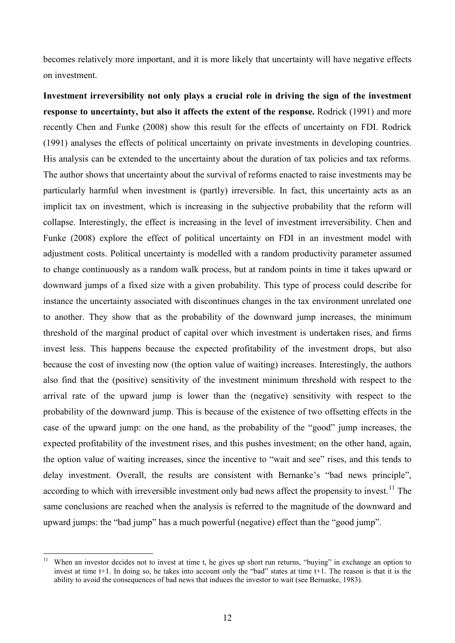becomes relatively more important, and it is more likely that uncertainty will have negative effects on investment.

**Investment irreversibility not only plays a crucial role in driving the sign of the investment response to uncertainty, but also it affects the extent of the response.** Rodrick (1991) and more recently Chen and Funke (2008) show this result for the effects of uncertainty on FDI. Rodrick (1991) analyses the effects of political uncertainty on private investments in developing countries. His analysis can be extended to the uncertainty about the duration of tax policies and tax reforms. The author shows that uncertainty about the survival of reforms enacted to raise investments may be particularly harmful when investment is (partly) irreversible. In fact, this uncertainty acts as an implicit tax on investment, which is increasing in the subjective probability that the reform will collapse. Interestingly, the effect is increasing in the level of investment irreversibility. Chen and Funke (2008) explore the effect of political uncertainty on FDI in an investment model with adjustment costs. Political uncertainty is modelled with a random productivity parameter assumed to change continuously as a random walk process, but at random points in time it takes upward or downward jumps of a fixed size with a given probability. This type of process could describe for instance the uncertainty associated with discontinues changes in the tax environment unrelated one to another. They show that as the probability of the downward jump increases, the minimum threshold of the marginal product of capital over which investment is undertaken rises, and firms invest less. This happens because the expected profitability of the investment drops, but also because the cost of investing now (the option value of waiting) increases. Interestingly, the authors also find that the (positive) sensitivity of the investment minimum threshold with respect to the arrival rate of the upward jump is lower than the (negative) sensitivity with respect to the probability of the downward jump. This is because of the existence of two offsetting effects in the case of the upward jump: on the one hand, as the probability of the "good" jump increases, the expected profitability of the investment rises, and this pushes investment; on the other hand, again, the option value of waiting increases, since the incentive to "wait and see" rises, and this tends to delay investment. Overall, the results are consistent with Bernanke's "bad news principle", according to which with irreversible investment only bad news affect the propensity to invest.<sup>[11](#page-13-0)</sup> The same conclusions are reached when the analysis is referred to the magnitude of the downward and upward jumps: the "bad jump" has a much powerful (negative) effect than the "good jump".

<span id="page-13-0"></span><sup>-</sup><sup>11</sup> When an investor decides not to invest at time t, he gives up short run returns, "buying" in exchange an option to invest at time t+1. In doing so, he takes into account only the "bad" states at time t+1. The reason is that it is the ability to avoid the consequences of bad news that induces the investor to wait (see Bernanke, 1983).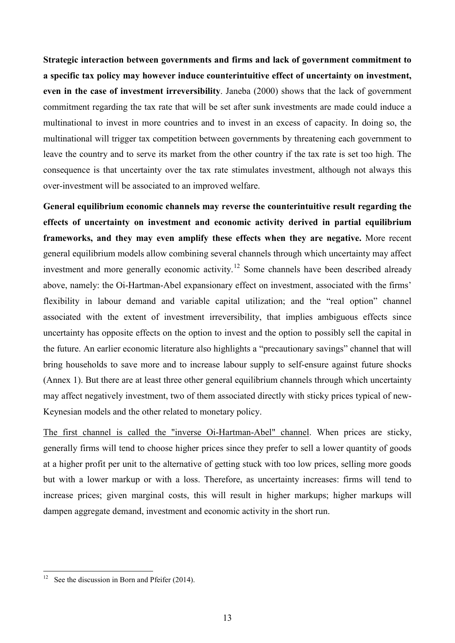**Strategic interaction between governments and firms and lack of government commitment to a specific tax policy may however induce counterintuitive effect of uncertainty on investment, even in the case of investment irreversibility**. Janeba (2000) shows that the lack of government commitment regarding the tax rate that will be set after sunk investments are made could induce a multinational to invest in more countries and to invest in an excess of capacity. In doing so, the multinational will trigger tax competition between governments by threatening each government to leave the country and to serve its market from the other country if the tax rate is set too high. The consequence is that uncertainty over the tax rate stimulates investment, although not always this over-investment will be associated to an improved welfare.

**General equilibrium economic channels may reverse the counterintuitive result regarding the effects of uncertainty on investment and economic activity derived in partial equilibrium frameworks, and they may even amplify these effects when they are negative.** More recent general equilibrium models allow combining several channels through which uncertainty may affect investment and more generally economic activity.<sup>[12](#page-14-0)</sup> Some channels have been described already above, namely: the Oi-Hartman-Abel expansionary effect on investment, associated with the firms' flexibility in labour demand and variable capital utilization; and the "real option" channel associated with the extent of investment irreversibility, that implies ambiguous effects since uncertainty has opposite effects on the option to invest and the option to possibly sell the capital in the future. An earlier economic literature also highlights a "precautionary savings" channel that will bring households to save more and to increase labour supply to self-ensure against future shocks (Annex 1). But there are at least three other general equilibrium channels through which uncertainty may affect negatively investment, two of them associated directly with sticky prices typical of new-Keynesian models and the other related to monetary policy.

The first channel is called the "inverse Oi-Hartman-Abel" channel. When prices are sticky, generally firms will tend to choose higher prices since they prefer to sell a lower quantity of goods at a higher profit per unit to the alternative of getting stuck with too low prices, selling more goods but with a lower markup or with a loss. Therefore, as uncertainty increases: firms will tend to increase prices; given marginal costs, this will result in higher markups; higher markups will dampen aggregate demand, investment and economic activity in the short run.

<u>.</u>

<span id="page-14-0"></span><sup>&</sup>lt;sup>12</sup> See the discussion in Born and Pfeifer  $(2014)$ .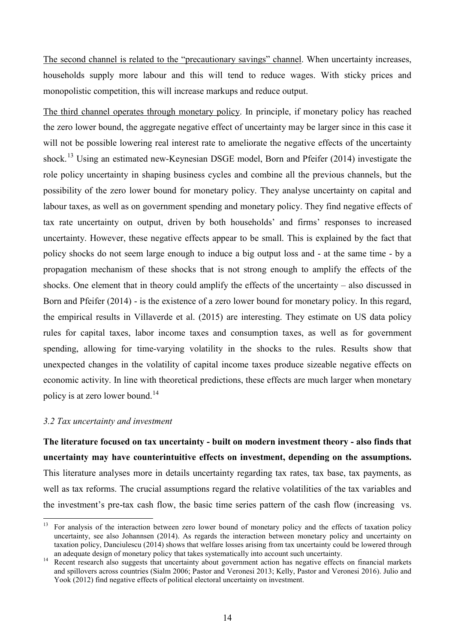The second channel is related to the "precautionary savings" channel. When uncertainty increases, households supply more labour and this will tend to reduce wages. With sticky prices and monopolistic competition, this will increase markups and reduce output.

The third channel operates through monetary policy. In principle, if monetary policy has reached the zero lower bound, the aggregate negative effect of uncertainty may be larger since in this case it will not be possible lowering real interest rate to ameliorate the negative effects of the uncertainty shock.<sup>[13](#page-15-0)</sup> Using an estimated new-Keynesian DSGE model, Born and Pfeifer (2014) investigate the role policy uncertainty in shaping business cycles and combine all the previous channels, but the possibility of the zero lower bound for monetary policy. They analyse uncertainty on capital and labour taxes, as well as on government spending and monetary policy. They find negative effects of tax rate uncertainty on output, driven by both households' and firms' responses to increased uncertainty. However, these negative effects appear to be small. This is explained by the fact that policy shocks do not seem large enough to induce a big output loss and - at the same time - by a propagation mechanism of these shocks that is not strong enough to amplify the effects of the shocks. One element that in theory could amplify the effects of the uncertainty – also discussed in Born and Pfeifer (2014) - is the existence of a zero lower bound for monetary policy. In this regard, the empirical results in Villaverde et al. (2015) are interesting. They estimate on US data policy rules for capital taxes, labor income taxes and consumption taxes, as well as for government spending, allowing for time-varying volatility in the shocks to the rules. Results show that unexpected changes in the volatility of capital income taxes produce sizeable negative effects on economic activity. In line with theoretical predictions, these effects are much larger when monetary policy is at zero lower bound.<sup>14</sup>

#### *3.2 Tax uncertainty and investment*

<u>.</u>

**The literature focused on tax uncertainty - built on modern investment theory - also finds that uncertainty may have counterintuitive effects on investment, depending on the assumptions.**  This literature analyses more in details uncertainty regarding tax rates, tax base, tax payments, as well as tax reforms. The crucial assumptions regard the relative volatilities of the tax variables and the investment's pre-tax cash flow, the basic time series pattern of the cash flow (increasing vs.

<span id="page-15-0"></span><sup>&</sup>lt;sup>13</sup> For analysis of the interaction between zero lower bound of monetary policy and the effects of taxation policy uncertainty, see also Johannsen (2014). As regards the interaction between monetary policy and uncertainty on taxation policy, Danciulescu (2014) shows that welfare losses arising from tax uncertainty could be lowered through an adequate design of monetary policy that takes systematically into account such uncertainty.

<span id="page-15-1"></span><sup>&</sup>lt;sup>14</sup> Recent research also suggests that uncertainty about government action has negative effects on financial markets and spillovers across countries (Sialm 2006; Pastor and Veronesi 2013; Kelly, Pastor and Veronesi 2016). Julio and Yook (2012) find negative effects of political electoral uncertainty on investment.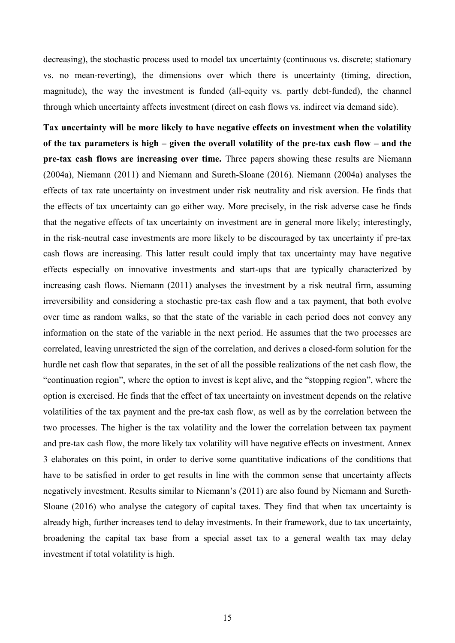decreasing), the stochastic process used to model tax uncertainty (continuous vs. discrete; stationary vs. no mean-reverting), the dimensions over which there is uncertainty (timing, direction, magnitude), the way the investment is funded (all-equity vs. partly debt-funded), the channel through which uncertainty affects investment (direct on cash flows vs. indirect via demand side).

**Tax uncertainty will be more likely to have negative effects on investment when the volatility of the tax parameters is high – given the overall volatility of the pre-tax cash flow – and the pre-tax cash flows are increasing over time.** Three papers showing these results are Niemann (2004a), Niemann (2011) and Niemann and Sureth-Sloane (2016). Niemann (2004a) analyses the effects of tax rate uncertainty on investment under risk neutrality and risk aversion. He finds that the effects of tax uncertainty can go either way. More precisely, in the risk adverse case he finds that the negative effects of tax uncertainty on investment are in general more likely; interestingly, in the risk-neutral case investments are more likely to be discouraged by tax uncertainty if pre-tax cash flows are increasing. This latter result could imply that tax uncertainty may have negative effects especially on innovative investments and start-ups that are typically characterized by increasing cash flows. Niemann (2011) analyses the investment by a risk neutral firm, assuming irreversibility and considering a stochastic pre-tax cash flow and a tax payment, that both evolve over time as random walks, so that the state of the variable in each period does not convey any information on the state of the variable in the next period. He assumes that the two processes are correlated, leaving unrestricted the sign of the correlation, and derives a closed-form solution for the hurdle net cash flow that separates, in the set of all the possible realizations of the net cash flow, the "continuation region", where the option to invest is kept alive, and the "stopping region", where the option is exercised. He finds that the effect of tax uncertainty on investment depends on the relative volatilities of the tax payment and the pre-tax cash flow, as well as by the correlation between the two processes. The higher is the tax volatility and the lower the correlation between tax payment and pre-tax cash flow, the more likely tax volatility will have negative effects on investment. Annex 3 elaborates on this point, in order to derive some quantitative indications of the conditions that have to be satisfied in order to get results in line with the common sense that uncertainty affects negatively investment. Results similar to Niemann's (2011) are also found by Niemann and Sureth-Sloane (2016) who analyse the category of capital taxes. They find that when tax uncertainty is already high, further increases tend to delay investments. In their framework, due to tax uncertainty, broadening the capital tax base from a special asset tax to a general wealth tax may delay investment if total volatility is high.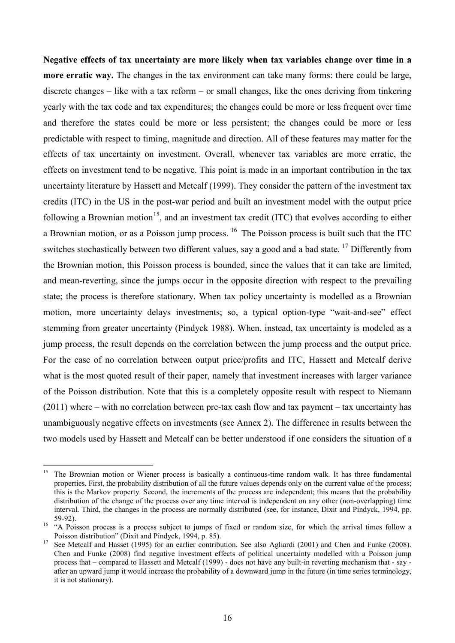**Negative effects of tax uncertainty are more likely when tax variables change over time in a more erratic way.** The changes in the tax environment can take many forms: there could be large, discrete changes – like with a tax reform – or small changes, like the ones deriving from tinkering yearly with the tax code and tax expenditures; the changes could be more or less frequent over time and therefore the states could be more or less persistent; the changes could be more or less predictable with respect to timing, magnitude and direction. All of these features may matter for the effects of tax uncertainty on investment. Overall, whenever tax variables are more erratic, the effects on investment tend to be negative. This point is made in an important contribution in the tax uncertainty literature by Hassett and Metcalf (1999). They consider the pattern of the investment tax credits (ITC) in the US in the post-war period and built an investment model with the output price following a Brownian motion<sup>15</sup>, and an investment tax credit (ITC) that evolves according to either a Brownian motion, or as a Poisson jump process. <sup>[16](#page-17-1)</sup> The Poisson process is built such that the ITC switches stochastically between two different values, say a good and a bad state. <sup>[17](#page-17-2)</sup> Differently from the Brownian motion, this Poisson process is bounded, since the values that it can take are limited, and mean-reverting, since the jumps occur in the opposite direction with respect to the prevailing state; the process is therefore stationary. When tax policy uncertainty is modelled as a Brownian motion, more uncertainty delays investments; so, a typical option-type "wait-and-see" effect stemming from greater uncertainty (Pindyck 1988). When, instead, tax uncertainty is modeled as a jump process, the result depends on the correlation between the jump process and the output price. For the case of no correlation between output price/profits and ITC, Hassett and Metcalf derive what is the most quoted result of their paper, namely that investment increases with larger variance of the Poisson distribution. Note that this is a completely opposite result with respect to Niemann (2011) where – with no correlation between pre-tax cash flow and tax payment – tax uncertainty has unambiguously negative effects on investments (see Annex 2). The difference in results between the two models used by Hassett and Metcalf can be better understood if one considers the situation of a

<span id="page-17-0"></span><sup>&</sup>lt;u>.</u> <sup>15</sup> The Brownian motion or Wiener process is basically a continuous-time random walk. It has three fundamental properties. First, the probability distribution of all the future values depends only on the current value of the process; this is the Markov property. Second, the increments of the process are independent; this means that the probability distribution of the change of the process over any time interval is independent on any other (non-overlapping) time interval. Third, the changes in the process are normally distributed (see, for instance, Dixit and Pindyck, 1994, pp.

<span id="page-17-1"></span><sup>59-92).</sup> <sup>16</sup> "A Poisson process is a process subject to jumps of fixed or random size, for which the arrival times follow a Poisson distribution" (Dixit and Pindyck, 1994, p. 85).<br>See Metcalf and Hasset (1995) for an earlier contribution. See also Agliardi (2001) and Chen and Funke (2008).

<span id="page-17-2"></span>Chen and Funke (2008) find negative investment effects of political uncertainty modelled with a Poisson jump process that – compared to Hassett and Metcalf (1999) - does not have any built-in reverting mechanism that - say after an upward jump it would increase the probability of a downward jump in the future (in time series terminology, it is not stationary).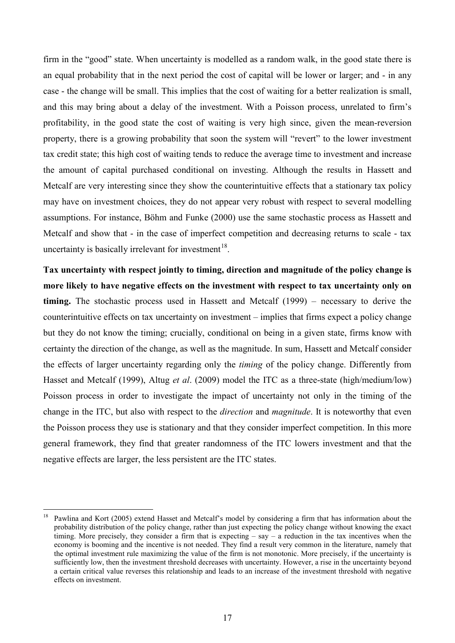firm in the "good" state. When uncertainty is modelled as a random walk, in the good state there is an equal probability that in the next period the cost of capital will be lower or larger; and - in any case - the change will be small. This implies that the cost of waiting for a better realization is small, and this may bring about a delay of the investment. With a Poisson process, unrelated to firm's profitability, in the good state the cost of waiting is very high since, given the mean-reversion property, there is a growing probability that soon the system will "revert" to the lower investment tax credit state; this high cost of waiting tends to reduce the average time to investment and increase the amount of capital purchased conditional on investing. Although the results in Hassett and Metcalf are very interesting since they show the counterintuitive effects that a stationary tax policy may have on investment choices, they do not appear very robust with respect to several modelling assumptions. For instance, Böhm and Funke (2000) use the same stochastic process as Hassett and Metcalf and show that - in the case of imperfect competition and decreasing returns to scale - tax uncertainty is basically irrelevant for investment<sup>18</sup>.

**Tax uncertainty with respect jointly to timing, direction and magnitude of the policy change is more likely to have negative effects on the investment with respect to tax uncertainty only on timing.** The stochastic process used in Hassett and Metcalf (1999) – necessary to derive the counterintuitive effects on tax uncertainty on investment – implies that firms expect a policy change but they do not know the timing; crucially, conditional on being in a given state, firms know with certainty the direction of the change, as well as the magnitude. In sum, Hassett and Metcalf consider the effects of larger uncertainty regarding only the *timing* of the policy change. Differently from Hasset and Metcalf (1999), Altug *et al*. (2009) model the ITC as a three-state (high/medium/low) Poisson process in order to investigate the impact of uncertainty not only in the timing of the change in the ITC, but also with respect to the *direction* and *magnitude*. It is noteworthy that even the Poisson process they use is stationary and that they consider imperfect competition. In this more general framework, they find that greater randomness of the ITC lowers investment and that the negative effects are larger, the less persistent are the ITC states.

-

<span id="page-18-0"></span><sup>&</sup>lt;sup>18</sup> Pawlina and Kort (2005) extend Hasset and Metcalf's model by considering a firm that has information about the probability distribution of the policy change, rather than just expecting the policy change without knowing the exact timing. More precisely, they consider a firm that is expecting – say – a reduction in the tax incentives when the economy is booming and the incentive is not needed. They find a result very common in the literature, namely that the optimal investment rule maximizing the value of the firm is not monotonic. More precisely, if the uncertainty is sufficiently low, then the investment threshold decreases with uncertainty. However, a rise in the uncertainty beyond a certain critical value reverses this relationship and leads to an increase of the investment threshold with negative effects on investment.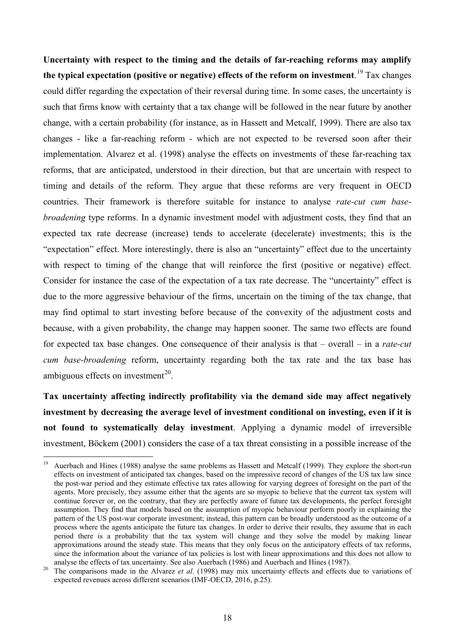**Uncertainty with respect to the timing and the details of far-reaching reforms may amplify the typical expectation (positive or negative) effects of the reform on investment**. [19](#page-19-0) Tax changes could differ regarding the expectation of their reversal during time. In some cases, the uncertainty is such that firms know with certainty that a tax change will be followed in the near future by another change, with a certain probability (for instance, as in Hassett and Metcalf, 1999). There are also tax changes - like a far-reaching reform - which are not expected to be reversed soon after their implementation. Alvarez et al. (1998) analyse the effects on investments of these far-reaching tax reforms, that are anticipated, understood in their direction, but that are uncertain with respect to timing and details of the reform. They argue that these reforms are very frequent in OECD countries. Their framework is therefore suitable for instance to analyse *rate-cut cum basebroadening* type reforms. In a dynamic investment model with adjustment costs, they find that an expected tax rate decrease (increase) tends to accelerate (decelerate) investments; this is the "expectation" effect. More interestingly, there is also an "uncertainty" effect due to the uncertainty with respect to timing of the change that will reinforce the first (positive or negative) effect. Consider for instance the case of the expectation of a tax rate decrease. The "uncertainty" effect is due to the more aggressive behaviour of the firms, uncertain on the timing of the tax change, that may find optimal to start investing before because of the convexity of the adjustment costs and because, with a given probability, the change may happen sooner. The same two effects are found for expected tax base changes. One consequence of their analysis is that – overall – in a *rate-cut cum base-broadening* reform, uncertainty regarding both the tax rate and the tax base has ambiguous effects on investment $^{20}$ .

**Tax uncertainty affecting indirectly profitability via the demand side may affect negatively investment by decreasing the average level of investment conditional on investing, even if it is not found to systematically delay investment**. Applying a dynamic model of irreversible investment, Böckem (2001) considers the case of a tax threat consisting in a possible increase of the

<span id="page-19-0"></span><sup>19</sup> <sup>19</sup> Auerbach and Hines (1988) analyse the same problems as Hassett and Metcalf (1999). They explore the short-run effects on investment of anticipated tax changes, based on the impressive record of changes of the US tax law since the post-war period and they estimate effective tax rates allowing for varying degrees of foresight on the part of the agents. More precisely, they assume either that the agents are so myopic to believe that the current tax system will continue forever or, on the contrary, that they are perfectly aware of future tax developments, the perfect foresight assumption. They find that models based on the assumption of myopic behaviour perform poorly in explaining the pattern of the US post-war corporate investment; instead, this pattern can be broadly understood as the outcome of a process where the agents anticipate the future tax changes. In order to derive their results, they assume that in each period there is a probability that the tax system will change and they solve the model by making linear approximations around the steady state. This means that they only focus on the anticipatory effects of tax reforms, since the information about the variance of tax policies is lost with linear approximations and this does not allow to

<span id="page-19-1"></span>analyse the effects of tax uncertainty. See also Auerbach (1986) and Auerbach and Hines (1987). <sup>20</sup> The comparisons made in the Alvarez *et al*. (1998) may mix uncertainty effects and effects due to variations of expected revenues across different scenarios (IMF-OECD, 2016, p.25).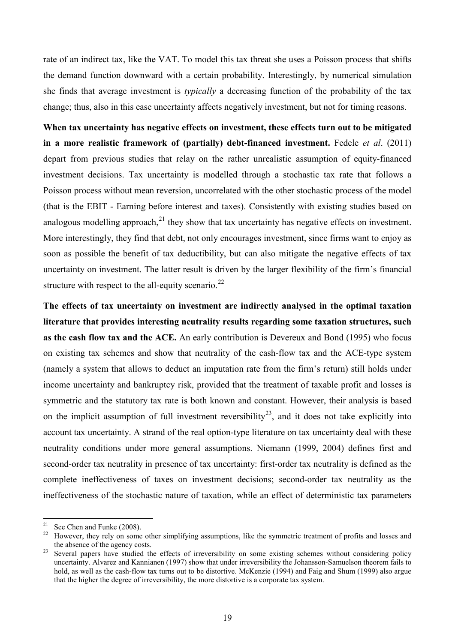rate of an indirect tax, like the VAT. To model this tax threat she uses a Poisson process that shifts the demand function downward with a certain probability. Interestingly, by numerical simulation she finds that average investment is *typically* a decreasing function of the probability of the tax change; thus, also in this case uncertainty affects negatively investment, but not for timing reasons.

**When tax uncertainty has negative effects on investment, these effects turn out to be mitigated in a more realistic framework of (partially) debt-financed investment.** Fedele *et al*. (2011) depart from previous studies that relay on the rather unrealistic assumption of equity-financed investment decisions. Tax uncertainty is modelled through a stochastic tax rate that follows a Poisson process without mean reversion, uncorrelated with the other stochastic process of the model (that is the EBIT - Earning before interest and taxes). Consistently with existing studies based on analogous modelling approach, $^{21}$  $^{21}$  $^{21}$  they show that tax uncertainty has negative effects on investment. More interestingly, they find that debt, not only encourages investment, since firms want to enjoy as soon as possible the benefit of tax deductibility, but can also mitigate the negative effects of tax uncertainty on investment. The latter result is driven by the larger flexibility of the firm's financial structure with respect to the all-equity scenario.<sup>[22](#page-20-1)</sup>

**The effects of tax uncertainty on investment are indirectly analysed in the optimal taxation literature that provides interesting neutrality results regarding some taxation structures, such as the cash flow tax and the ACE.** An early contribution is Devereux and Bond (1995) who focus on existing tax schemes and show that neutrality of the cash-flow tax and the ACE-type system (namely a system that allows to deduct an imputation rate from the firm's return) still holds under income uncertainty and bankruptcy risk, provided that the treatment of taxable profit and losses is symmetric and the statutory tax rate is both known and constant. However, their analysis is based on the implicit assumption of full investment reversibility<sup>23</sup>, and it does not take explicitly into account tax uncertainty. A strand of the real option-type literature on tax uncertainty deal with these neutrality conditions under more general assumptions. Niemann (1999, 2004) defines first and second-order tax neutrality in presence of tax uncertainty: first-order tax neutrality is defined as the complete ineffectiveness of taxes on investment decisions; second-order tax neutrality as the ineffectiveness of the stochastic nature of taxation, while an effect of deterministic tax parameters

<span id="page-20-1"></span><span id="page-20-0"></span> $21$ 

See Chen and Funke (2008).<br>However, they rely on some other simplifying assumptions, like the symmetric treatment of profits and losses and the absence of the agency costs.<br><sup>23</sup> Several papers have studied the effects of irreversibility on some existing schemes without considering policy

<span id="page-20-2"></span>uncertainty. Alvarez and Kannianen (1997) show that under irreversibility the Johansson-Samuelson theorem fails to hold, as well as the cash-flow tax turns out to be distortive. McKenzie (1994) and Faig and Shum (1999) also argue that the higher the degree of irreversibility, the more distortive is a corporate tax system.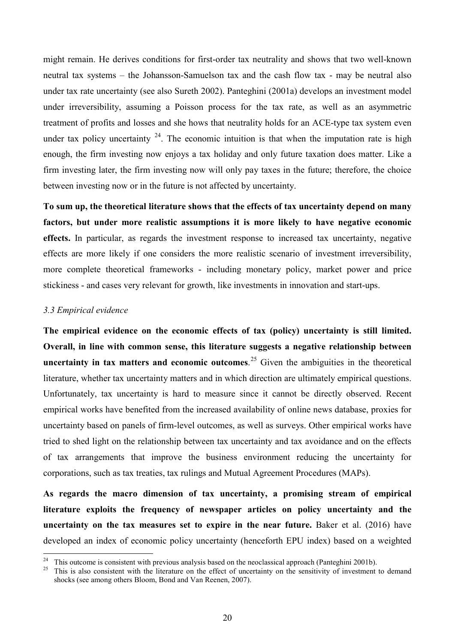might remain. He derives conditions for first-order tax neutrality and shows that two well-known neutral tax systems – the Johansson-Samuelson tax and the cash flow tax - may be neutral also under tax rate uncertainty (see also Sureth 2002). Panteghini (2001a) develops an investment model under irreversibility, assuming a Poisson process for the tax rate, as well as an asymmetric treatment of profits and losses and she hows that neutrality holds for an ACE-type tax system even under tax policy uncertainty  $24$ . The economic intuition is that when the imputation rate is high enough, the firm investing now enjoys a tax holiday and only future taxation does matter. Like a firm investing later, the firm investing now will only pay taxes in the future; therefore, the choice between investing now or in the future is not affected by uncertainty.

**To sum up, the theoretical literature shows that the effects of tax uncertainty depend on many factors, but under more realistic assumptions it is more likely to have negative economic effects.** In particular, as regards the investment response to increased tax uncertainty, negative effects are more likely if one considers the more realistic scenario of investment irreversibility, more complete theoretical frameworks - including monetary policy, market power and price stickiness - and cases very relevant for growth, like investments in innovation and start-ups.

### *3.3 Empirical evidence*

-

**The empirical evidence on the economic effects of tax (policy) uncertainty is still limited. Overall, in line with common sense, this literature suggests a negative relationship between**  uncertainty in tax matters and economic outcomes.<sup>[25](#page-21-1)</sup> Given the ambiguities in the theoretical literature, whether tax uncertainty matters and in which direction are ultimately empirical questions. Unfortunately, tax uncertainty is hard to measure since it cannot be directly observed. Recent empirical works have benefited from the increased availability of online news database, proxies for uncertainty based on panels of firm-level outcomes, as well as surveys. Other empirical works have tried to shed light on the relationship between tax uncertainty and tax avoidance and on the effects of tax arrangements that improve the business environment reducing the uncertainty for corporations, such as tax treaties, tax rulings and Mutual Agreement Procedures (MAPs).

**As regards the macro dimension of tax uncertainty, a promising stream of empirical literature exploits the frequency of newspaper articles on policy uncertainty and the uncertainty on the tax measures set to expire in the near future.** Baker et al. (2016) have developed an index of economic policy uncertainty (henceforth EPU index) based on a weighted

<span id="page-21-1"></span><span id="page-21-0"></span><sup>&</sup>lt;sup>24</sup> This outcome is consistent with previous analysis based on the neoclassical approach (Panteghini 2001b).<br><sup>25</sup> This is also consistent with the literature on the effect of uncertainty on the sensitivity of investment

shocks (see among others Bloom, Bond and Van Reenen, 2007).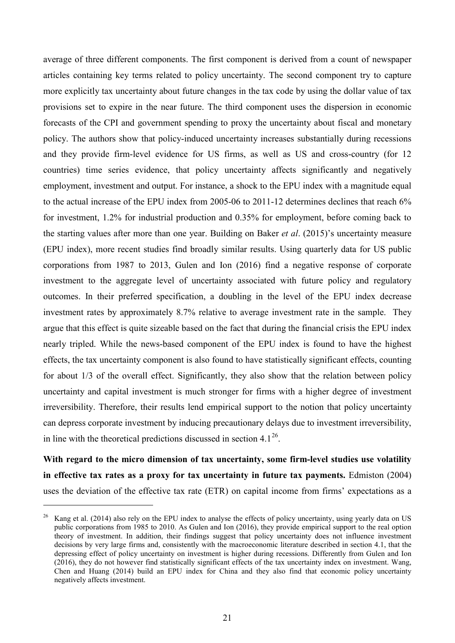average of three different components. The first component is derived from a count of newspaper articles containing key terms related to policy uncertainty. The second component try to capture more explicitly tax uncertainty about future changes in the tax code by using the dollar value of tax provisions set to expire in the near future. The third component uses the dispersion in economic forecasts of the CPI and government spending to proxy the uncertainty about fiscal and monetary policy. The authors show that policy-induced uncertainty increases substantially during recessions and they provide firm-level evidence for US firms, as well as US and cross-country (for 12 countries) time series evidence, that policy uncertainty affects significantly and negatively employment, investment and output. For instance, a shock to the EPU index with a magnitude equal to the actual increase of the EPU index from 2005-06 to 2011-12 determines declines that reach 6% for investment, 1.2% for industrial production and 0.35% for employment, before coming back to the starting values after more than one year. Building on Baker *et al*. (2015)'s uncertainty measure (EPU index), more recent studies find broadly similar results. Using quarterly data for US public corporations from 1987 to 2013, Gulen and Ion (2016) find a negative response of corporate investment to the aggregate level of uncertainty associated with future policy and regulatory outcomes. In their preferred specification, a doubling in the level of the EPU index decrease investment rates by approximately 8.7% relative to average investment rate in the sample. They argue that this effect is quite sizeable based on the fact that during the financial crisis the EPU index nearly tripled. While the news-based component of the EPU index is found to have the highest effects, the tax uncertainty component is also found to have statistically significant effects, counting for about 1/3 of the overall effect. Significantly, they also show that the relation between policy uncertainty and capital investment is much stronger for firms with a higher degree of investment irreversibility. Therefore, their results lend empirical support to the notion that policy uncertainty can depress corporate investment by inducing precautionary delays due to investment irreversibility, in line with the theoretical predictions discussed in section  $4.1^{26}$ .

**With regard to the micro dimension of tax uncertainty, some firm-level studies use volatility in effective tax rates as a proxy for tax uncertainty in future tax payments.** Edmiston (2004) uses the deviation of the effective tax rate (ETR) on capital income from firms' expectations as a

-

<span id="page-22-0"></span> $26$  Kang et al. (2014) also rely on the EPU index to analyse the effects of policy uncertainty, using yearly data on US public corporations from 1985 to 2010. As Gulen and Ion (2016), they provide empirical support to the real option theory of investment. In addition, their findings suggest that policy uncertainty does not influence investment decisions by very large firms and, consistently with the macroeconomic literature described in section 4.1, that the depressing effect of policy uncertainty on investment is higher during recessions. Differently from Gulen and Ion (2016), they do not however find statistically significant effects of the tax uncertainty index on investment. Wang, Chen and Huang (2014) build an EPU index for China and they also find that economic policy uncertainty negatively affects investment.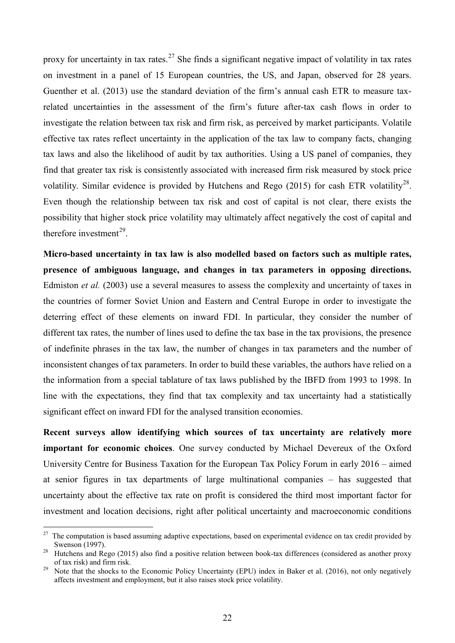proxy for uncertainty in tax rates.<sup>[27](#page-23-0)</sup> She finds a significant negative impact of volatility in tax rates on investment in a panel of 15 European countries, the US, and Japan, observed for 28 years. Guenther et al. (2013) use the standard deviation of the firm's annual cash ETR to measure taxrelated uncertainties in the assessment of the firm's future after-tax cash flows in order to investigate the relation between tax risk and firm risk, as perceived by market participants. Volatile effective tax rates reflect uncertainty in the application of the tax law to company facts, changing tax laws and also the likelihood of audit by tax authorities. Using a US panel of companies, they find that greater tax risk is consistently associated with increased firm risk measured by stock price volatility. Similar evidence is provided by Hutchens and Rego  $(2015)$  for cash ETR volatility<sup>28</sup>. Even though the relationship between tax risk and cost of capital is not clear, there exists the possibility that higher stock price volatility may ultimately affect negatively the cost of capital and therefore investment<sup>[29](#page-23-2)</sup>.

**Micro-based uncertainty in tax law is also modelled based on factors such as multiple rates, presence of ambiguous language, and changes in tax parameters in opposing directions.**  Edmiston *et al.* (2003) use a several measures to assess the complexity and uncertainty of taxes in the countries of former Soviet Union and Eastern and Central Europe in order to investigate the deterring effect of these elements on inward FDI. In particular, they consider the number of different tax rates, the number of lines used to define the tax base in the tax provisions, the presence of indefinite phrases in the tax law, the number of changes in tax parameters and the number of inconsistent changes of tax parameters. In order to build these variables, the authors have relied on a the information from a special tablature of tax laws published by the IBFD from 1993 to 1998. In line with the expectations, they find that tax complexity and tax uncertainty had a statistically significant effect on inward FDI for the analysed transition economies.

**Recent surveys allow identifying which sources of tax uncertainty are relatively more important for economic choices**. One survey conducted by Michael Devereux of the Oxford University Centre for Business Taxation for the European Tax Policy Forum in early 2016 – aimed at senior figures in tax departments of large multinational companies – has suggested that uncertainty about the effective tax rate on profit is considered the third most important factor for investment and location decisions, right after political uncertainty and macroeconomic conditions

<u>.</u>

<span id="page-23-0"></span> $27$  The computation is based assuming adaptive expectations, based on experimental evidence on tax credit provided by

<span id="page-23-1"></span>Swenson (1997).<br><sup>28</sup> Hutchens and Rego (2015) also find a positive relation between book-tax differences (considered as another proxy of tax risk) and firm risk.

<span id="page-23-2"></span><sup>&</sup>lt;sup>29</sup> Note that the shocks to the Economic Policy Uncertainty (EPU) index in Baker et al. (2016), not only negatively affects investment and employment, but it also raises stock price volatility.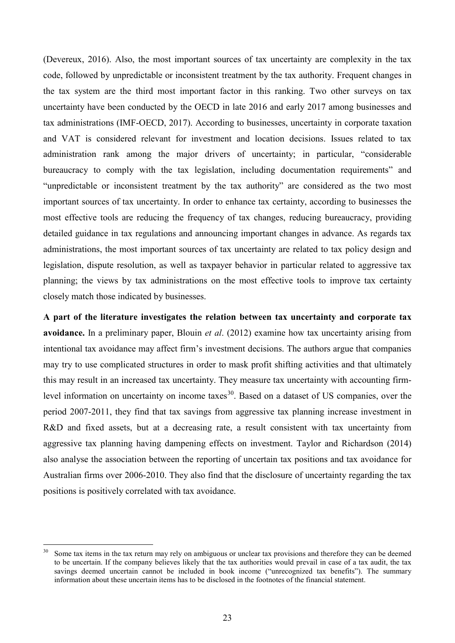(Devereux, 2016). Also, the most important sources of tax uncertainty are complexity in the tax code, followed by unpredictable or inconsistent treatment by the tax authority. Frequent changes in the tax system are the third most important factor in this ranking. Two other surveys on tax uncertainty have been conducted by the OECD in late 2016 and early 2017 among businesses and tax administrations (IMF-OECD, 2017). According to businesses, uncertainty in corporate taxation and VAT is considered relevant for investment and location decisions. Issues related to tax administration rank among the major drivers of uncertainty; in particular, "considerable bureaucracy to comply with the tax legislation, including documentation requirements" and "unpredictable or inconsistent treatment by the tax authority" are considered as the two most important sources of tax uncertainty. In order to enhance tax certainty, according to businesses the most effective tools are reducing the frequency of tax changes, reducing bureaucracy, providing detailed guidance in tax regulations and announcing important changes in advance. As regards tax administrations, the most important sources of tax uncertainty are related to tax policy design and legislation, dispute resolution, as well as taxpayer behavior in particular related to aggressive tax planning; the views by tax administrations on the most effective tools to improve tax certainty closely match those indicated by businesses.

**A part of the literature investigates the relation between tax uncertainty and corporate tax avoidance.** In a preliminary paper, Blouin *et al*. (2012) examine how tax uncertainty arising from intentional tax avoidance may affect firm's investment decisions. The authors argue that companies may try to use complicated structures in order to mask profit shifting activities and that ultimately this may result in an increased tax uncertainty. They measure tax uncertainty with accounting firm-level information on uncertainty on income taxes<sup>[30](#page-24-0)</sup>. Based on a dataset of US companies, over the period 2007-2011, they find that tax savings from aggressive tax planning increase investment in R&D and fixed assets, but at a decreasing rate, a result consistent with tax uncertainty from aggressive tax planning having dampening effects on investment. Taylor and Richardson (2014) also analyse the association between the reporting of uncertain tax positions and tax avoidance for Australian firms over 2006-2010. They also find that the disclosure of uncertainty regarding the tax positions is positively correlated with tax avoidance.

-

<span id="page-24-0"></span>Some tax items in the tax return may rely on ambiguous or unclear tax provisions and therefore they can be deemed to be uncertain. If the company believes likely that the tax authorities would prevail in case of a tax audit, the tax savings deemed uncertain cannot be included in book income ("unrecognized tax benefits"). The summary information about these uncertain items has to be disclosed in the footnotes of the financial statement.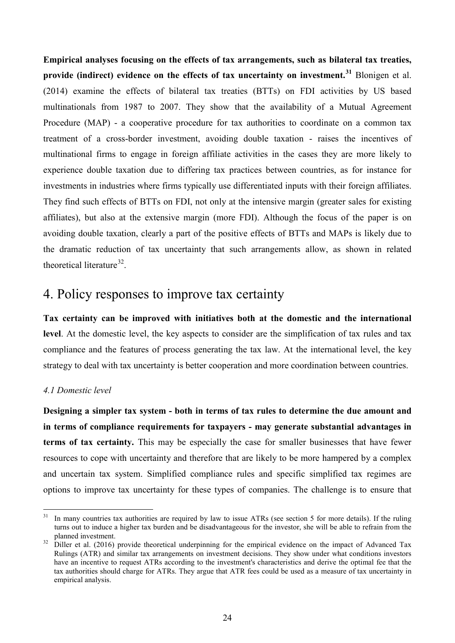**Empirical analyses focusing on the effects of tax arrangements, such as bilateral tax treaties, provide (indirect) evidence on the effects of tax uncertainty on investment. [31](#page-25-0)** Blonigen et al. (2014) examine the effects of bilateral tax treaties (BTTs) on FDI activities by US based multinationals from 1987 to 2007. They show that the availability of a Mutual Agreement Procedure (MAP) - a cooperative procedure for tax authorities to coordinate on a common tax treatment of a cross-border investment, avoiding double taxation - raises the incentives of multinational firms to engage in foreign affiliate activities in the cases they are more likely to experience double taxation due to differing tax practices between countries, as for instance for investments in industries where firms typically use differentiated inputs with their foreign affiliates. They find such effects of BTTs on FDI, not only at the intensive margin (greater sales for existing affiliates), but also at the extensive margin (more FDI). Although the focus of the paper is on avoiding double taxation, clearly a part of the positive effects of BTTs and MAPs is likely due to the dramatic reduction of tax uncertainty that such arrangements allow, as shown in related theoretical literature<sup>[32](#page-25-1)</sup>.

### 4. Policy responses to improve tax certainty

**Tax certainty can be improved with initiatives both at the domestic and the international level**. At the domestic level, the key aspects to consider are the simplification of tax rules and tax compliance and the features of process generating the tax law. At the international level, the key strategy to deal with tax uncertainty is better cooperation and more coordination between countries.

### *4.1 Domestic level*

**Designing a simpler tax system - both in terms of tax rules to determine the due amount and in terms of compliance requirements for taxpayers - may generate substantial advantages in terms of tax certainty.** This may be especially the case for smaller businesses that have fewer resources to cope with uncertainty and therefore that are likely to be more hampered by a complex and uncertain tax system. Simplified compliance rules and specific simplified tax regimes are options to improve tax uncertainty for these types of companies. The challenge is to ensure that

<span id="page-25-0"></span> $31$ In many countries tax authorities are required by law to issue ATRs (see section 5 for more details). If the ruling turns out to induce a higher tax burden and be disadvantageous for the investor, she will be able to refrain from the planned investment.<br><sup>32</sup> Diller et al. (2016) provide theoretical underpinning for the empirical evidence on the impact of Advanced Tax

<span id="page-25-1"></span>Rulings (ATR) and similar tax arrangements on investment decisions. They show under what conditions investors have an incentive to request ATRs according to the investment's characteristics and derive the optimal fee that the tax authorities should charge for ATRs. They argue that ATR fees could be used as a measure of tax uncertainty in empirical analysis.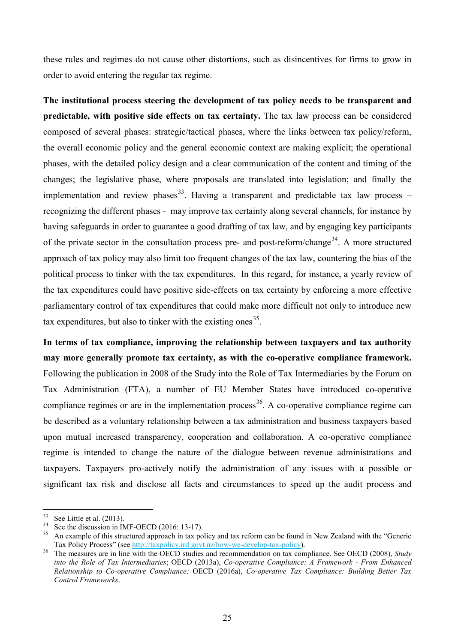these rules and regimes do not cause other distortions, such as disincentives for firms to grow in order to avoid entering the regular tax regime.

**The institutional process steering the development of tax policy needs to be transparent and predictable, with positive side effects on tax certainty.** The tax law process can be considered composed of several phases: strategic/tactical phases, where the links between tax policy/reform, the overall economic policy and the general economic context are making explicit; the operational phases, with the detailed policy design and a clear communication of the content and timing of the changes; the legislative phase, where proposals are translated into legislation; and finally the implementation and review phases<sup>[33](#page-26-0)</sup>. Having a transparent and predictable tax law process – recognizing the different phases - may improve tax certainty along several channels, for instance by having safeguards in order to guarantee a good drafting of tax law, and by engaging key participants of the private sector in the consultation process pre- and post-reform/change<sup>[34](#page-26-1)</sup>. A more structured approach of tax policy may also limit too frequent changes of the tax law, countering the bias of the political process to tinker with the tax expenditures. In this regard, for instance, a yearly review of the tax expenditures could have positive side-effects on tax certainty by enforcing a more effective parliamentary control of tax expenditures that could make more difficult not only to introduce new tax expenditures, but also to tinker with the existing ones  $35$ .

**In terms of tax compliance, improving the relationship between taxpayers and tax authority may more generally promote tax certainty, as with the co-operative compliance framework.**  Following the publication in 2008 of the Study into the Role of Tax Intermediaries by the Forum on Tax Administration (FTA), a number of EU Member States have introduced co-operative compliance regimes or are in the implementation process<sup>36</sup>. A co-operative compliance regime can be described as a voluntary relationship between a tax administration and business taxpayers based upon mutual increased transparency, cooperation and collaboration. A co-operative compliance regime is intended to change the nature of the dialogue between revenue administrations and taxpayers. Taxpayers pro-actively notify the administration of any issues with a possible or significant tax risk and disclose all facts and circumstances to speed up the audit process and

-

<span id="page-26-2"></span><span id="page-26-1"></span>

<span id="page-26-0"></span><sup>&</sup>lt;sup>33</sup> See Little et al. (2013).<br><sup>34</sup> See the discussion in IMF-OECD (2016: 13-17).<br><sup>35</sup> An example of this structured approach in tax policy and tax reform can be found in New Zealand with the "Generic Tax Policy Process" (see <u>http://taxpolicy.ird.govt.nz/how-we-develop-tax-policy</u>).<br>The measures are in line with the OECD studies and recommendation on tax compliance. See OECD (2008), *Study* 

<span id="page-26-3"></span>*into the Role of Tax Intermediaries*; OECD (2013a), *Co-operative Compliance: A Framework - From Enhanced Relationship to Co-operative Compliance;* OECD (2016a), *Co-operative Tax Compliance: Building Better Tax Control Frameworks*.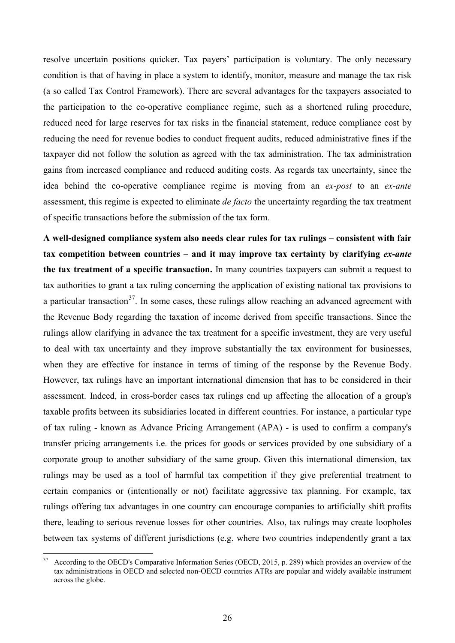resolve uncertain positions quicker. Tax payers' participation is voluntary. The only necessary condition is that of having in place a system to identify, monitor, measure and manage the tax risk (a so called Tax Control Framework). There are several advantages for the taxpayers associated to the participation to the co-operative compliance regime, such as a shortened ruling procedure, reduced need for large reserves for tax risks in the financial statement, reduce compliance cost by reducing the need for revenue bodies to conduct frequent audits, reduced administrative fines if the taxpayer did not follow the solution as agreed with the tax administration. The tax administration gains from increased compliance and reduced auditing costs. As regards tax uncertainty, since the idea behind the co-operative compliance regime is moving from an *ex-post* to an *ex-ante* assessment, this regime is expected to eliminate *de facto* the uncertainty regarding the tax treatment of specific transactions before the submission of the tax form.

**A well-designed compliance system also needs clear rules for tax rulings – consistent with fair tax competition between countries – and it may improve tax certainty by clarifying** *ex-ante* **the tax treatment of a specific transaction.** In many countries taxpayers can submit a request to tax authorities to grant a tax ruling concerning the application of existing national tax provisions to a particular transaction<sup>37</sup>. In some cases, these rulings allow reaching an advanced agreement with the Revenue Body regarding the taxation of income derived from specific transactions. Since the rulings allow clarifying in advance the tax treatment for a specific investment, they are very useful to deal with tax uncertainty and they improve substantially the tax environment for businesses, when they are effective for instance in terms of timing of the response by the Revenue Body. However, tax rulings have an important international dimension that has to be considered in their assessment. Indeed, in cross-border cases tax rulings end up affecting the allocation of a group's taxable profits between its subsidiaries located in different countries. For instance, a particular type of tax ruling - known as Advance Pricing Arrangement (APA) - is used to confirm a company's transfer pricing arrangements i.e. the prices for goods or services provided by one subsidiary of a corporate group to another subsidiary of the same group. Given this international dimension, tax rulings may be used as a tool of harmful tax competition if they give preferential treatment to certain companies or (intentionally or not) facilitate aggressive tax planning. For example, tax rulings offering tax advantages in one country can encourage companies to artificially shift profits there, leading to serious revenue losses for other countries. Also, tax rulings may create loopholes between tax systems of different jurisdictions (e.g. where two countries independently grant a tax

<span id="page-27-0"></span><sup>-</sup><sup>37</sup> According to the OECD's Comparative Information Series (OECD, 2015, p. 289) which provides an overview of the tax administrations in OECD and selected non-OECD countries ATRs are popular and widely available instrument across the globe.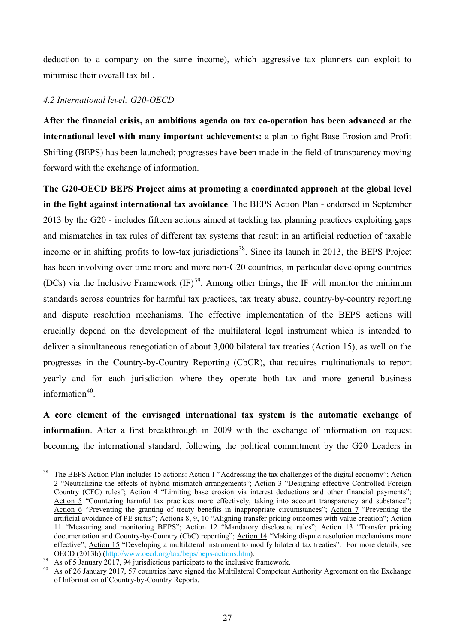deduction to a company on the same income), which aggressive tax planners can exploit to minimise their overall tax bill.

#### *4.2 International level: G20-OECD*

**After the financial crisis, an ambitious agenda on tax co-operation has been advanced at the international level with many important achievements:** a plan to fight Base Erosion and Profit Shifting (BEPS) has been launched; progresses have been made in the field of transparency moving forward with the exchange of information.

**The G20-OECD BEPS Project aims at promoting a coordinated approach at the global level in the fight against international tax avoidance**. The BEPS Action Plan - endorsed in September 2013 by the G20 - includes fifteen actions aimed at tackling tax planning practices exploiting gaps and mismatches in tax rules of different tax systems that result in an artificial reduction of taxable income or in shifting profits to low-tax jurisdictions<sup>38</sup>. Since its launch in 2013, the BEPS Project has been involving over time more and more non-G20 countries, in particular developing countries (DCs) via the Inclusive Framework  $(\text{IF})^{39}$  $(\text{IF})^{39}$  $(\text{IF})^{39}$ . Among other things, the IF will monitor the minimum standards across countries for harmful tax practices, tax treaty abuse, country-by-country reporting and dispute resolution mechanisms. The effective implementation of the BEPS actions will crucially depend on the development of the multilateral legal instrument which is intended to deliver a simultaneous renegotiation of about 3,000 bilateral tax treaties (Action 15), as well on the progresses in the Country-by-Country Reporting (CbCR), that requires multinationals to report yearly and for each jurisdiction where they operate both tax and more general business information $40$ 

**A core element of the envisaged international tax system is the automatic exchange of information**. After a first breakthrough in 2009 with the exchange of information on request becoming the international standard, following the political commitment by the G20 Leaders in

<span id="page-28-0"></span><sup>&</sup>lt;u>.</u> <sup>38</sup> The BEPS Action Plan includes 15 actions: Action 1 "Addressing the tax challenges of the digital economy"; Action 2 "Neutralizing the effects of hybrid mismatch arrangements"; Action 3 "Designing effective Controlled Foreign Country (CFC) rules"; Action 4 "Limiting base erosion via interest deductions and other financial payments"; Action 5 "Countering harmful tax practices more effectively, taking into account transparency and substance"; Action 6 "Preventing the granting of treaty benefits in inappropriate circumstances"; Action 7 "Preventing the artificial avoidance of PE status"; Actions 8, 9, 10 "Aligning transfer pricing outcomes with value creation"; Action 11 "Measuring and monitoring BEPS"; Action 12 "Mandatory disclosure rules"; Action 13 "Transfer pricing documentation and Country-by-Country (CbC) reporting"; Action 14 "Making dispute resolution mechanisms more effective"; <u>Action 15</u> "Developing a multilateral instrument to modify bilateral tax treaties". For more details, see<br>OECD (2013b) (http://www.oecd.org/tax/beps/beps-actions.htm).

<span id="page-28-2"></span><span id="page-28-1"></span><sup>&</sup>lt;sup>39</sup> As of 5 January 2017, 94 jurisdictions participate to the inclusive framework.<br><sup>40</sup> As of 26 January 2017, 57 countries have signed the Multilateral Competent Authority Agreement on the Exchange of Information of Country-by-Country Reports.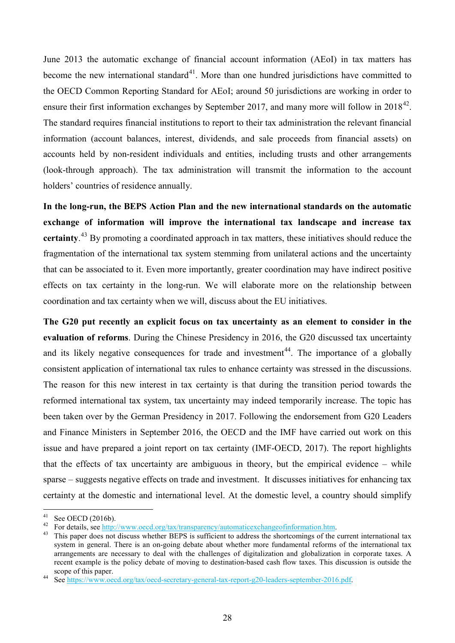June 2013 the automatic exchange of financial account information (AEoI) in tax matters has become the new international standard<sup>41</sup>. More than one hundred jurisdictions have committed to the OECD Common Reporting Standard for AEoI; around 50 jurisdictions are working in order to ensure their first information exchanges by September 2017, and many more will follow in  $2018^{42}$ . The standard requires financial institutions to report to their tax administration the relevant financial information (account balances, interest, dividends, and sale proceeds from financial assets) on accounts held by non-resident individuals and entities, including trusts and other arrangements (look-through approach). The tax administration will transmit the information to the account holders' countries of residence annually.

**In the long-run, the BEPS Action Plan and the new international standards on the automatic exchange of information will improve the international tax landscape and increase tax certainty**. [43](#page-29-2) By promoting a coordinated approach in tax matters, these initiatives should reduce the fragmentation of the international tax system stemming from unilateral actions and the uncertainty that can be associated to it. Even more importantly, greater coordination may have indirect positive effects on tax certainty in the long-run. We will elaborate more on the relationship between coordination and tax certainty when we will, discuss about the EU initiatives.

**The G20 put recently an explicit focus on tax uncertainty as an element to consider in the evaluation of reforms**. During the Chinese Presidency in 2016, the G20 discussed tax uncertainty and its likely negative consequences for trade and investment<sup>44</sup>. The importance of a globally consistent application of international tax rules to enhance certainty was stressed in the discussions. The reason for this new interest in tax certainty is that during the transition period towards the reformed international tax system, tax uncertainty may indeed temporarily increase. The topic has been taken over by the German Presidency in 2017. Following the endorsement from G20 Leaders and Finance Ministers in September 2016, the OECD and the IMF have carried out work on this issue and have prepared a joint report on tax certainty (IMF-OECD, 2017). The report highlights that the effects of tax uncertainty are ambiguous in theory, but the empirical evidence – while sparse – suggests negative effects on trade and investment. It discusses initiatives for enhancing tax certainty at the domestic and international level. At the domestic level, a country should simplify

 $41$ 

<span id="page-29-1"></span><span id="page-29-0"></span><sup>&</sup>lt;sup>41</sup> See OECD (2016b).<br><sup>42</sup> For details, see <u>http://www.oecd.org/tax/transparency/automaticexchangeofinformation.htm</u>.<br><sup>43</sup> This paper does not discuss whether BEPS is sufficient to address the shortcomings of the curren

<span id="page-29-2"></span>system in general. There is an on-going debate about whether more fundamental reforms of the international tax arrangements are necessary to deal with the challenges of digitalization and globalization in corporate taxes. A recent example is the policy debate of moving to destination-based cash flow taxes. This discussion is outside the scope of this paper.<br>
44 See [https://www.oecd.org/tax/oecd-secretary-general-tax-report-g20-leaders-september-2016.pdf.](https://www.oecd.org/tax/oecd-secretary-general-tax-report-g20-leaders-september-2016.pdf)

<span id="page-29-3"></span>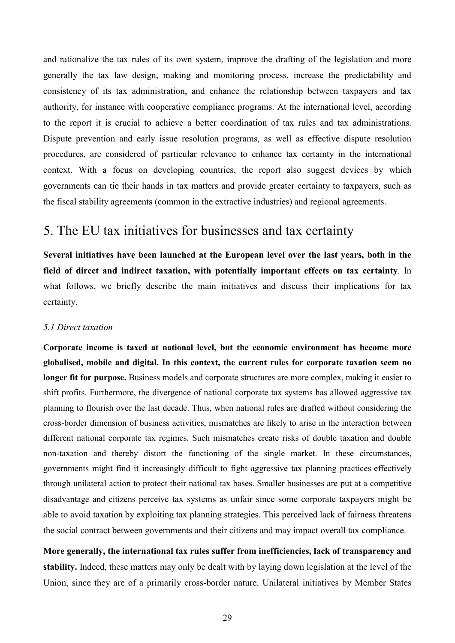and rationalize the tax rules of its own system, improve the drafting of the legislation and more generally the tax law design, making and monitoring process, increase the predictability and consistency of its tax administration, and enhance the relationship between taxpayers and tax authority, for instance with cooperative compliance programs. At the international level, according to the report it is crucial to achieve a better coordination of tax rules and tax administrations. Dispute prevention and early issue resolution programs, as well as effective dispute resolution procedures, are considered of particular relevance to enhance tax certainty in the international context. With a focus on developing countries, the report also suggest devices by which governments can tie their hands in tax matters and provide greater certainty to taxpayers, such as the fiscal stability agreements (common in the extractive industries) and regional agreements.

### 5. The EU tax initiatives for businesses and tax certainty

**Several initiatives have been launched at the European level over the last years, both in the field of direct and indirect taxation, with potentially important effects on tax certainty**. In what follows, we briefly describe the main initiatives and discuss their implications for tax certainty.

#### *5.1 Direct taxation*

**Corporate income is taxed at national level, but the economic environment has become more globalised, mobile and digital. In this context, the current rules for corporate taxation seem no longer fit for purpose.** Business models and corporate structures are more complex, making it easier to shift profits. Furthermore, the divergence of national corporate tax systems has allowed aggressive tax planning to flourish over the last decade. Thus, when national rules are drafted without considering the cross-border dimension of business activities, mismatches are likely to arise in the interaction between different national corporate tax regimes. Such mismatches create risks of double taxation and double non-taxation and thereby distort the functioning of the single market. In these circumstances, governments might find it increasingly difficult to fight aggressive tax planning practices effectively through unilateral action to protect their national tax bases. Smaller businesses are put at a competitive disadvantage and citizens perceive tax systems as unfair since some corporate taxpayers might be able to avoid taxation by exploiting tax planning strategies. This perceived lack of fairness threatens the social contract between governments and their citizens and may impact overall tax compliance.

**More generally, the international tax rules suffer from inefficiencies, lack of transparency and stability.** Indeed, these matters may only be dealt with by laying down legislation at the level of the Union, since they are of a primarily cross-border nature. Unilateral initiatives by Member States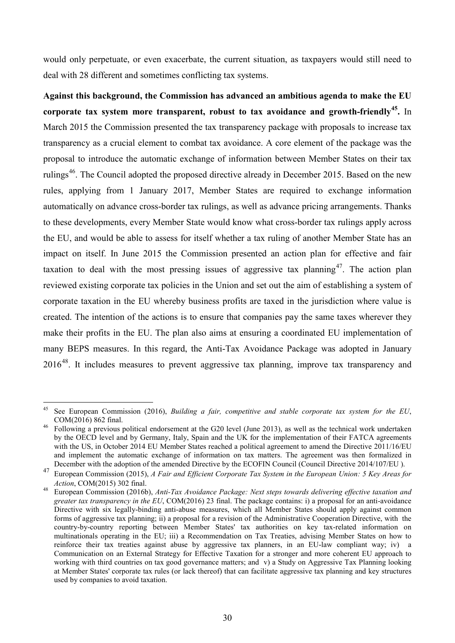would only perpetuate, or even exacerbate, the current situation, as taxpayers would still need to deal with 28 different and sometimes conflicting tax systems.

**Against this background, the Commission has advanced an ambitious agenda to make the EU corporate tax system more transparent, robust to tax avoidance and growth-friendly[45](#page-31-0).** In March 2015 the Commission presented the tax transparency package with proposals to increase tax transparency as a crucial element to combat tax avoidance. A core element of the package was the proposal to introduce the automatic exchange of information between Member States on their tax rulings<sup>46</sup>. The Council adopted the proposed directive already in December 2015. Based on the new rules, applying from 1 January 2017, Member States are required to exchange information automatically on advance cross-border tax rulings, as well as advance pricing arrangements. Thanks to these developments, every Member State would know what cross-border tax rulings apply across the EU, and would be able to assess for itself whether a tax ruling of another Member State has an impact on itself. In June 2015 the Commission presented an action plan for effective and fair taxation to deal with the most pressing issues of aggressive tax planning<sup>[47](#page-31-2)</sup>. The action plan reviewed existing corporate tax policies in the Union and set out the aim of establishing a system of corporate taxation in the EU whereby business profits are taxed in the jurisdiction where value is created. The intention of the actions is to ensure that companies pay the same taxes wherever they make their profits in the EU. The plan also aims at ensuring a coordinated EU implementation of many BEPS measures. In this regard, the Anti-Tax Avoidance Package was adopted in January 2016[48](#page-31-3). It includes measures to prevent aggressive tax planning, improve tax transparency and

<u>.</u>

<span id="page-31-0"></span><sup>45</sup> See European Commission (2016), *Building a fair, competitive and stable corporate tax system for the EU*,  $COM(2016)$  862 final.<br><sup>46</sup> Following a previous political endorsement at the G20 level (June 2013), as well as the technical work undertaken

<span id="page-31-1"></span>by the OECD level and by Germany, Italy, Spain and the UK for the implementation of their FATCA agreements with the US, in October 2014 EU Member States reached a political agreement to amend the Directive 2011/16/EU and implement the automatic exchange of information on tax matters. The agreement was then formalized in December with the adoption of the amended Directive by the ECOFIN Council (Council Directive 2014/107/EU ).

<span id="page-31-2"></span><sup>47</sup> European Commission (2015), *A Fair and Efficient Corporate Tax System in the European Union: 5 Key Areas for Action.* COM(2015) 302 final.

<span id="page-31-3"></span>*Action*, COM(2015) 302 final. <sup>48</sup> European Commission (2016b), *Anti-Tax Avoidance Package: Next steps towards delivering effective taxation and greater tax transparency in the EU*, COM(2016) 23 final. The package contains: i) a proposal for an anti-avoidance Directive with six legally-binding anti-abuse measures, which all Member States should apply against common forms of aggressive tax planning; ii) a proposal for a revision of the Administrative Cooperation Directive, with the country-by-country reporting between Member States' tax authorities on key tax-related information on multinationals operating in the EU; iii) a Recommendation on Tax Treaties, advising Member States on how to reinforce their tax treaties against abuse by aggressive tax planners, in an EU-law compliant way; iv) a Communication on an External Strategy for Effective Taxation for a stronger and more coherent EU approach to working with third countries on tax good governance matters; and v) a Study on Aggressive Tax Planning looking at Member States' corporate tax rules (or lack thereof) that can facilitate aggressive tax planning and key structures used by companies to avoid taxation.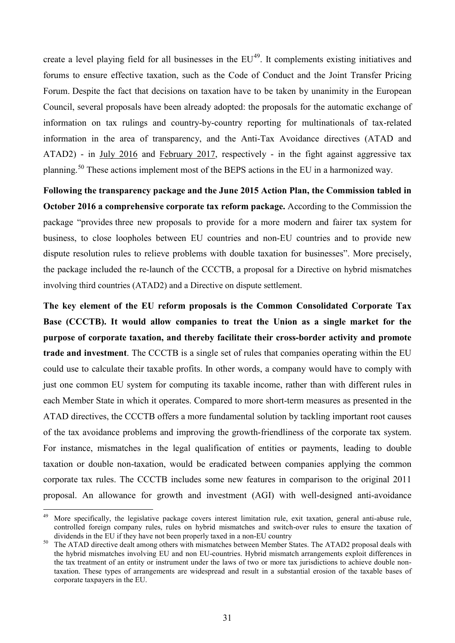create a level playing field for all businesses in the  $EU^{49}$  $EU^{49}$  $EU^{49}$ . It complements existing initiatives and forums to ensure effective taxation, such as the Code of Conduct and the Joint Transfer Pricing Forum. Despite the fact that decisions on taxation have to be taken by unanimity in the European Council, several proposals have been already adopted: the proposals for the automatic exchange of information on tax rulings and country-by-country reporting for multinationals of tax-related information in the area of transparency, and the Anti-Tax Avoidance directives (ATAD and ATAD2) - in July 2016 and February 2017, respectively - in the fight against aggressive tax planning.<sup>[50](#page-32-1)</sup> These actions implement most of the BEPS actions in the EU in a harmonized way.

**Following the transparency package and the June 2015 Action Plan, the Commission tabled in October 2016 a comprehensive corporate tax reform package.** According to the Commission the package "provides three new proposals to provide for a more modern and fairer tax system for business, to close loopholes between EU countries and non-EU countries and to provide new dispute resolution rules to relieve problems with double taxation for businesses". More precisely, the package included the re-launch of the CCCTB, a proposal for a Directive on hybrid mismatches involving third countries (ATAD2) and a Directive on dispute settlement.

**The key element of the EU reform proposals is the Common Consolidated Corporate Tax Base (CCCTB). It would allow companies to treat the Union as a single market for the purpose of corporate taxation, and thereby facilitate their cross-border activity and promote trade and investment**. The CCCTB is a single set of rules that companies operating within the EU could use to calculate their taxable profits. In other words, a company would have to comply with just one common EU system for computing its taxable income, rather than with different rules in each Member State in which it operates. Compared to more short-term measures as presented in the ATAD directives, the CCCTB offers a more fundamental solution by tackling important root causes of the tax avoidance problems and improving the growth-friendliness of the corporate tax system. For instance, mismatches in the legal qualification of entities or payments, leading to double taxation or double non-taxation, would be eradicated between companies applying the common corporate tax rules. The CCCTB includes some new features in comparison to the original 2011 proposal. An allowance for growth and investment (AGI) with well-designed anti-avoidance

-

<span id="page-32-0"></span><sup>&</sup>lt;sup>49</sup> More specifically, the legislative package covers interest limitation rule, exit taxation, general anti-abuse rule, controlled foreign company rules, rules on hybrid mismatches and switch-over rules to ensure the taxation of dividends in the EU if they have not been properly taxed in a non-EU country<br>The ATAD directive dealt among others with mismatches between Member States. The ATAD2 proposal deals with

<span id="page-32-1"></span>the hybrid mismatches involving EU and non EU-countries. Hybrid mismatch arrangements exploit differences in the tax treatment of an entity or instrument under the laws of two or more tax jurisdictions to achieve double nontaxation. These types of arrangements are widespread and result in a substantial erosion of the taxable bases of corporate taxpayers in the EU.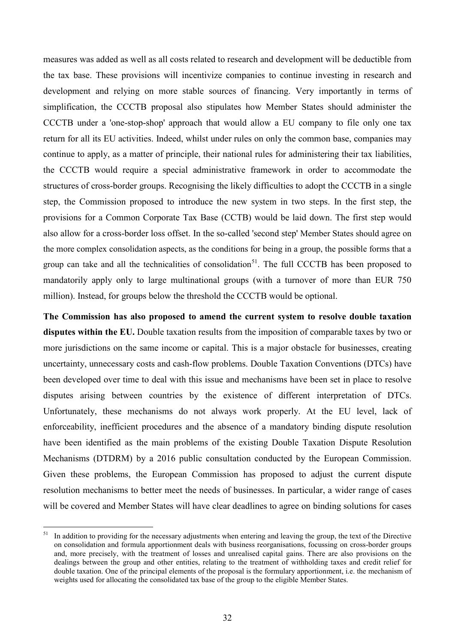measures was added as well as all costs related to research and development will be deductible from the tax base. These provisions will incentivize companies to continue investing in research and development and relying on more stable sources of financing. Very importantly in terms of simplification, the CCCTB proposal also stipulates how Member States should administer the CCCTB under a 'one-stop-shop' approach that would allow a EU company to file only one tax return for all its EU activities. Indeed, whilst under rules on only the common base, companies may continue to apply, as a matter of principle, their national rules for administering their tax liabilities, the CCCTB would require a special administrative framework in order to accommodate the structures of cross-border groups. Recognising the likely difficulties to adopt the CCCTB in a single step, the Commission proposed to introduce the new system in two steps. In the first step, the provisions for a Common Corporate Tax Base (CCTB) would be laid down. The first step would also allow for a cross-border loss offset. In the so-called 'second step' Member States should agree on the more complex consolidation aspects, as the conditions for being in a group, the possible forms that a group can take and all the technicalities of consolidation<sup>[51](#page-33-0)</sup>. The full CCCTB has been proposed to mandatorily apply only to large multinational groups (with a turnover of more than EUR 750 million). Instead, for groups below the threshold the CCCTB would be optional.

**The Commission has also proposed to amend [the current system to resolve double taxation](http://ec.europa.eu/taxation_customs/business/company-tax/resolution-double-taxation-disputes_en)  [disputes within the EU.](http://ec.europa.eu/taxation_customs/business/company-tax/resolution-double-taxation-disputes_en)** Double taxation results from the imposition of comparable taxes by two or more jurisdictions on the same income or capital. This is a major obstacle for businesses, creating uncertainty, unnecessary costs and cash-flow problems. Double Taxation Conventions (DTCs) have been developed over time to deal with this issue and mechanisms have been set in place to resolve disputes arising between countries by the existence of different interpretation of DTCs. Unfortunately, these mechanisms do not always work properly. At the EU level, lack of enforceability, inefficient procedures and the absence of a mandatory binding dispute resolution have been identified as the main problems of the existing Double Taxation Dispute Resolution Mechanisms (DTDRM) by a 2016 public consultation conducted by the European Commission. Given these problems, the European Commission has proposed to adjust the current dispute resolution mechanisms to better meet the needs of businesses. In particular, a wider range of cases will be covered and Member States will have clear deadlines to agree on binding solutions for cases

<span id="page-33-0"></span> $51$ <sup>51</sup> In addition to providing for the necessary adjustments when entering and leaving the group, the text of the Directive on consolidation and formula apportionment deals with business reorganisations, focussing on cross-border groups and, more precisely, with the treatment of losses and unrealised capital gains. There are also provisions on the dealings between the group and other entities, relating to the treatment of withholding taxes and credit relief for double taxation. One of the principal elements of the proposal is the formulary apportionment, i.e. the mechanism of weights used for allocating the consolidated tax base of the group to the eligible Member States.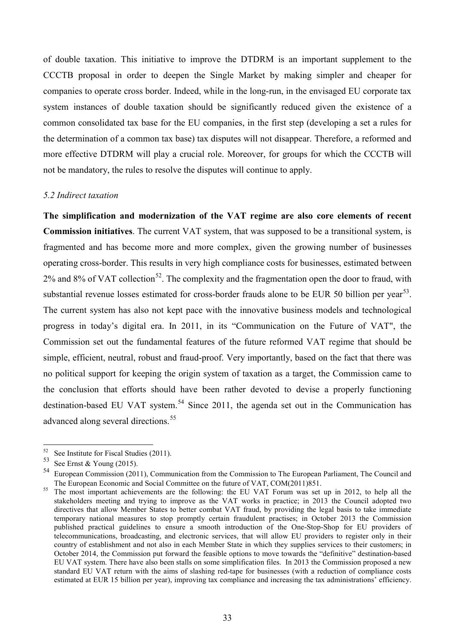of double taxation. This initiative to improve the DTDRM is an important supplement to the CCCTB proposal in order to deepen the Single Market by making simpler and cheaper for companies to operate cross border. Indeed, while in the long-run, in the envisaged EU corporate tax system instances of double taxation should be significantly reduced given the existence of a common consolidated tax base for the EU companies, in the first step (developing a set a rules for the determination of a common tax base) tax disputes will not disappear. Therefore, a reformed and more effective DTDRM will play a crucial role. Moreover, for groups for which the CCCTB will not be mandatory, the rules to resolve the disputes will continue to apply.

#### *5.2 Indirect taxation*

**The simplification and modernization of the VAT regime are also core elements of recent Commission initiatives**. The current VAT system, that was supposed to be a transitional system, is fragmented and has become more and more complex, given the growing number of businesses operating cross-border. This results in very high compliance costs for businesses, estimated between  $2\%$  and  $8\%$  of VAT collection<sup>52</sup>. The complexity and the fragmentation open the door to fraud, with substantial revenue losses estimated for cross-border frauds alone to be EUR 50 billion per year<sup>53</sup>. The current system has also not kept pace with the innovative business models and technological progress in today's digital era. In 2011, in its "Communication on the Future of VAT", the Commission set out the fundamental features of the future reformed VAT regime that should be simple, efficient, neutral, robust and fraud-proof. Very importantly, based on the fact that there was no political support for keeping the origin system of taxation as a target, the Commission came to the conclusion that efforts should have been rather devoted to devise a properly functioning destination-based EU VAT system.<sup>[54](#page-34-2)</sup> Since 2011, the agenda set out in the Communication has advanced along several directions.<sup>[55](#page-34-3)</sup>

<sup>52</sup> 

<span id="page-34-2"></span><span id="page-34-1"></span>

<span id="page-34-0"></span><sup>&</sup>lt;sup>52</sup> See Institute for Fiscal Studies (2011).<br>
<sup>53</sup> See Ernst & Young (2015).<br>
<sup>54</sup> European Commission (2011), Communication from the Commission to The European Parliament, The Council and<br>
The European Economic and Soci

<span id="page-34-3"></span><sup>&</sup>lt;sup>55</sup> The most important achievements are the following: the EU VAT Forum was set up in 2012, to help all the stakeholders meeting and trying to improve as the VAT works in practice; in 2013 the Council adopted two directives that allow Member States to better combat VAT fraud, by providing the legal basis to take immediate temporary national measures to stop promptly certain fraudulent practises; in October 2013 the Commission published practical guidelines to ensure a smooth introduction of the One-Stop-Shop for EU providers of telecommunications, broadcasting, and electronic services, that will allow EU providers to register only in their country of establishment and not also in each Member State in which they supplies services to their customers; in October 2014, the Commission put forward the feasible options to move towards the "definitive" destination-based EU VAT system. There have also been stalls on some simplification files. In 2013 the Commission proposed a new standard EU VAT return with the aims of slashing red-tape for businesses (with a reduction of compliance costs estimated at EUR 15 billion per year), improving tax compliance and increasing the tax administrations' efficiency.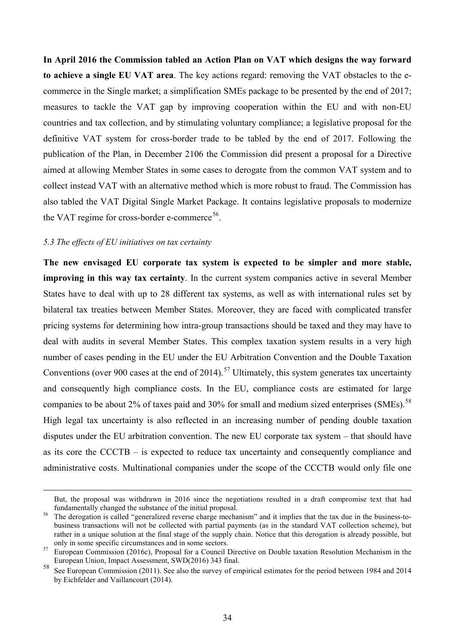**In April 2016 the Commission tabled an Action Plan on VAT which designs the way forward to achieve a single EU VAT area**. The key actions regard: removing the VAT obstacles to the ecommerce in the Single market; a simplification SMEs package to be presented by the end of 2017; measures to tackle the VAT gap by improving cooperation within the EU and with non-EU countries and tax collection, and by stimulating voluntary compliance; a legislative proposal for the definitive VAT system for cross-border trade to be tabled by the end of 2017. Following the publication of the Plan, in December 2106 the Commission did present a proposal for a Directive aimed at allowing Member States in some cases to derogate from the common VAT system and to collect instead VAT with an alternative method which is more robust to fraud. The Commission has also tabled the VAT Digital Single Market Package. It contains legislative proposals to modernize the VAT regime for cross-border e-commerce<sup>[56](#page-35-0)</sup>.

### *5.3 The effects of EU initiatives on tax certainty*

<u>.</u>

**The new envisaged EU corporate tax system is expected to be simpler and more stable, improving in this way tax certainty**. In the current system companies active in several Member States have to deal with up to 28 different tax systems, as well as with international rules set by bilateral tax treaties between Member States. Moreover, they are faced with complicated transfer pricing systems for determining how intra-group transactions should be taxed and they may have to deal with audits in several Member States. This complex taxation system results in a very high number of cases pending in the EU under the EU Arbitration Convention and the Double Taxation Conventions (over 900 cases at the end of 2014).<sup>[57](#page-35-1)</sup> Ultimately, this system generates tax uncertainty and consequently high compliance costs. In the EU, compliance costs are estimated for large companies to be about 2% of taxes paid and 30% for small and medium sized enterprises (SMEs).<sup>[58](#page-35-2)</sup> High legal tax uncertainty is also reflected in an increasing number of pending double taxation disputes under the EU arbitration convention. The new EU corporate tax system – that should have as its core the CCCTB – is expected to reduce tax uncertainty and consequently compliance and administrative costs. Multinational companies under the scope of the CCCTB would only file one

But, the proposal was withdrawn in 2016 since the negotiations resulted in a draft compromise text that had fundamentally changed the substance of the initial proposal.

<span id="page-35-0"></span><sup>&</sup>lt;sup>56</sup> The derogation is called "generalized reverse charge mechanism" and it implies that the tax due in the business-tobusiness transactions will not be collected with partial payments (as in the standard VAT collection scheme), but rather in a unique solution at the final stage of the supply chain. Notice that this derogation is already possible, but only in some specific circumstances and in some sectors.<br><sup>57</sup> European Commission (2016c), Proposal for a Council Directive on Double taxation Resolution Mechanism in the

<span id="page-35-1"></span>European Union, Impact Assessment, SWD(2016) 343 final.

<span id="page-35-2"></span><sup>58</sup> See European Commission (2011). See also the survey of empirical estimates for the period between 1984 and 2014 by Eichfelder and Vaillancourt (2014).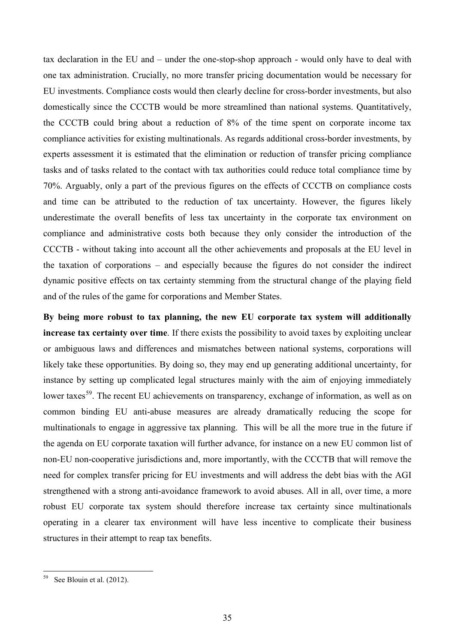tax declaration in the EU and – under the one-stop-shop approach - would only have to deal with one tax administration. Crucially, no more transfer pricing documentation would be necessary for EU investments. Compliance costs would then clearly decline for cross-border investments, but also domestically since the CCCTB would be more streamlined than national systems. Quantitatively, the CCCTB could bring about a reduction of 8% of the time spent on corporate income tax compliance activities for existing multinationals. As regards additional cross-border investments, by experts assessment it is estimated that the elimination or reduction of transfer pricing compliance tasks and of tasks related to the contact with tax authorities could reduce total compliance time by 70%. Arguably, only a part of the previous figures on the effects of CCCTB on compliance costs and time can be attributed to the reduction of tax uncertainty. However, the figures likely underestimate the overall benefits of less tax uncertainty in the corporate tax environment on compliance and administrative costs both because they only consider the introduction of the CCCTB - without taking into account all the other achievements and proposals at the EU level in the taxation of corporations – and especially because the figures do not consider the indirect dynamic positive effects on tax certainty stemming from the structural change of the playing field and of the rules of the game for corporations and Member States.

**By being more robust to tax planning, the new EU corporate tax system will additionally increase tax certainty over time**. If there exists the possibility to avoid taxes by exploiting unclear or ambiguous laws and differences and mismatches between national systems, corporations will likely take these opportunities. By doing so, they may end up generating additional uncertainty, for instance by setting up complicated legal structures mainly with the aim of enjoying immediately lower taxes<sup>[59](#page-36-0)</sup>. The recent EU achievements on transparency, exchange of information, as well as on common binding EU anti-abuse measures are already dramatically reducing the scope for multinationals to engage in aggressive tax planning. This will be all the more true in the future if the agenda on EU corporate taxation will further advance, for instance on a new EU common list of non-EU non-cooperative jurisdictions and, more importantly, with the CCCTB that will remove the need for complex transfer pricing for EU investments and will address the debt bias with the AGI strengthened with a strong anti-avoidance framework to avoid abuses. All in all, over time, a more robust EU corporate tax system should therefore increase tax certainty since multinationals operating in a clearer tax environment will have less incentive to complicate their business structures in their attempt to reap tax benefits.

<span id="page-36-0"></span><sup>59</sup> See Blouin et al. (2012).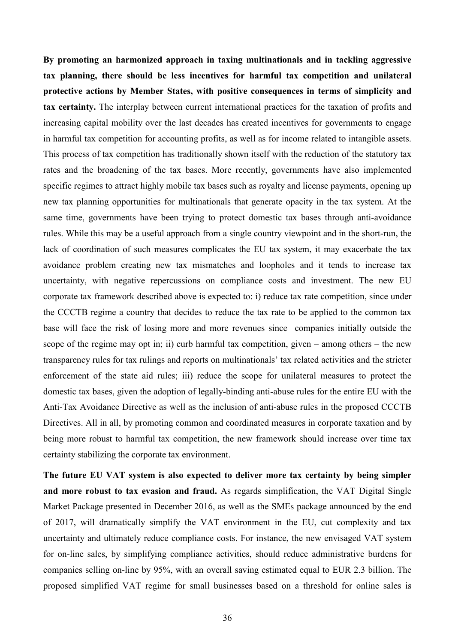**By promoting an harmonized approach in taxing multinationals and in tackling aggressive tax planning, there should be less incentives for harmful tax competition and unilateral protective actions by Member States, with positive consequences in terms of simplicity and tax certainty.** The interplay between current international practices for the taxation of profits and increasing capital mobility over the last decades has created incentives for governments to engage in harmful tax competition for accounting profits, as well as for income related to intangible assets. This process of tax competition has traditionally shown itself with the reduction of the statutory tax rates and the broadening of the tax bases. More recently, governments have also implemented specific regimes to attract highly mobile tax bases such as royalty and license payments, opening up new tax planning opportunities for multinationals that generate opacity in the tax system. At the same time, governments have been trying to protect domestic tax bases through anti-avoidance rules. While this may be a useful approach from a single country viewpoint and in the short-run, the lack of coordination of such measures complicates the EU tax system, it may exacerbate the tax avoidance problem creating new tax mismatches and loopholes and it tends to increase tax uncertainty, with negative repercussions on compliance costs and investment. The new EU corporate tax framework described above is expected to: i) reduce tax rate competition, since under the CCCTB regime a country that decides to reduce the tax rate to be applied to the common tax base will face the risk of losing more and more revenues since companies initially outside the scope of the regime may opt in; ii) curb harmful tax competition, given – among others – the new transparency rules for tax rulings and reports on multinationals' tax related activities and the stricter enforcement of the state aid rules; iii) reduce the scope for unilateral measures to protect the domestic tax bases, given the adoption of legally-binding anti-abuse rules for the entire EU with the Anti-Tax Avoidance Directive as well as the inclusion of anti-abuse rules in the proposed CCCTB Directives. All in all, by promoting common and coordinated measures in corporate taxation and by being more robust to harmful tax competition, the new framework should increase over time tax certainty stabilizing the corporate tax environment.

**The future EU VAT system is also expected to deliver more tax certainty by being simpler and more robust to tax evasion and fraud.** As regards simplification, the VAT Digital Single Market Package presented in December 2016, as well as the SMEs package announced by the end of 2017, will dramatically simplify the VAT environment in the EU, cut complexity and tax uncertainty and ultimately reduce compliance costs. For instance, the new envisaged VAT system for on-line sales, by simplifying compliance activities, should reduce administrative burdens for companies selling on-line by 95%, with an overall saving estimated equal to EUR 2.3 billion. The proposed simplified VAT regime for small businesses based on a threshold for online sales is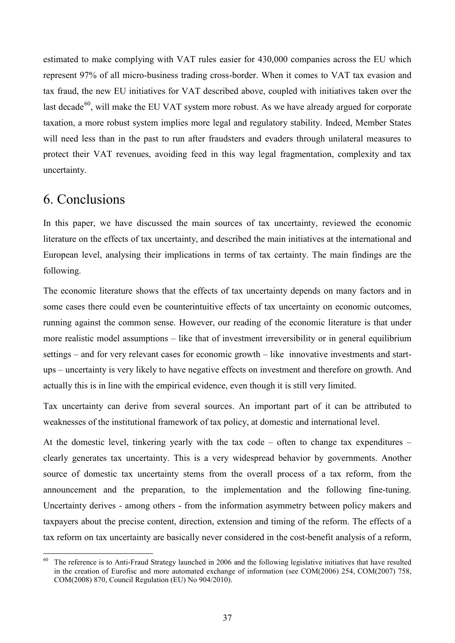estimated to make complying with VAT rules easier for 430,000 companies across the EU which represent 97% of all micro-business trading cross-border. When it comes to VAT tax evasion and tax fraud, the new EU initiatives for VAT described above, coupled with initiatives taken over the last decade<sup>60</sup>, will make the EU VAT system more robust. As we have already argued for corporate taxation, a more robust system implies more legal and regulatory stability. Indeed, Member States will need less than in the past to run after fraudsters and evaders through unilateral measures to protect their VAT revenues, avoiding feed in this way legal fragmentation, complexity and tax uncertainty.

### 6. Conclusions

In this paper, we have discussed the main sources of tax uncertainty, reviewed the economic literature on the effects of tax uncertainty, and described the main initiatives at the international and European level, analysing their implications in terms of tax certainty. The main findings are the following.

The economic literature shows that the effects of tax uncertainty depends on many factors and in some cases there could even be counterintuitive effects of tax uncertainty on economic outcomes, running against the common sense. However, our reading of the economic literature is that under more realistic model assumptions – like that of investment irreversibility or in general equilibrium settings – and for very relevant cases for economic growth – like innovative investments and startups – uncertainty is very likely to have negative effects on investment and therefore on growth. And actually this is in line with the empirical evidence, even though it is still very limited.

Tax uncertainty can derive from several sources. An important part of it can be attributed to weaknesses of the institutional framework of tax policy, at domestic and international level.

At the domestic level, tinkering yearly with the tax code – often to change tax expenditures – clearly generates tax uncertainty. This is a very widespread behavior by governments. Another source of domestic tax uncertainty stems from the overall process of a tax reform, from the announcement and the preparation, to the implementation and the following fine-tuning. Uncertainty derives - among others - from the information asymmetry between policy makers and taxpayers about the precise content, direction, extension and timing of the reform. The effects of a tax reform on tax uncertainty are basically never considered in the cost-benefit analysis of a reform,

<span id="page-38-0"></span><sup>-</sup> $60$  The reference is to Anti-Fraud Strategy launched in 2006 and the following legislative initiatives that have resulted in the creation of Eurofisc and more automated exchange of information (see COM(2006) 254, COM(2007) 758, COM(2008) 870, Council Regulation (EU) No 904/2010).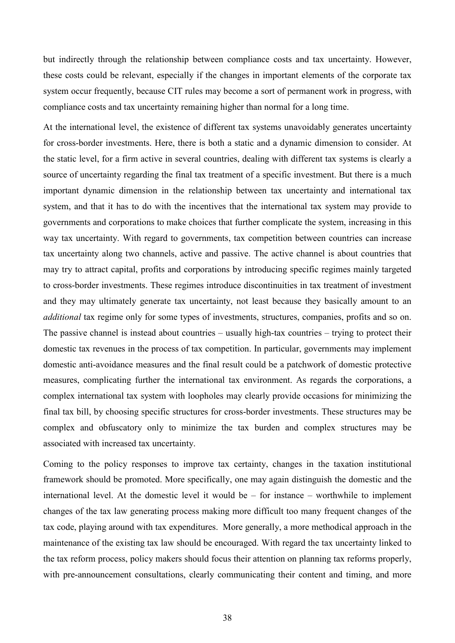but indirectly through the relationship between compliance costs and tax uncertainty. However, these costs could be relevant, especially if the changes in important elements of the corporate tax system occur frequently, because CIT rules may become a sort of permanent work in progress, with compliance costs and tax uncertainty remaining higher than normal for a long time.

At the international level, the existence of different tax systems unavoidably generates uncertainty for cross-border investments. Here, there is both a static and a dynamic dimension to consider. At the static level, for a firm active in several countries, dealing with different tax systems is clearly a source of uncertainty regarding the final tax treatment of a specific investment. But there is a much important dynamic dimension in the relationship between tax uncertainty and international tax system, and that it has to do with the incentives that the international tax system may provide to governments and corporations to make choices that further complicate the system, increasing in this way tax uncertainty. With regard to governments, tax competition between countries can increase tax uncertainty along two channels, active and passive. The active channel is about countries that may try to attract capital, profits and corporations by introducing specific regimes mainly targeted to cross-border investments. These regimes introduce discontinuities in tax treatment of investment and they may ultimately generate tax uncertainty, not least because they basically amount to an *additional* tax regime only for some types of investments, structures, companies, profits and so on. The passive channel is instead about countries – usually high-tax countries – trying to protect their domestic tax revenues in the process of tax competition. In particular, governments may implement domestic anti-avoidance measures and the final result could be a patchwork of domestic protective measures, complicating further the international tax environment. As regards the corporations, a complex international tax system with loopholes may clearly provide occasions for minimizing the final tax bill, by choosing specific structures for cross-border investments. These structures may be complex and obfuscatory only to minimize the tax burden and complex structures may be associated with increased tax uncertainty.

Coming to the policy responses to improve tax certainty, changes in the taxation institutional framework should be promoted. More specifically, one may again distinguish the domestic and the international level. At the domestic level it would be – for instance – worthwhile to implement changes of the tax law generating process making more difficult too many frequent changes of the tax code, playing around with tax expenditures. More generally, a more methodical approach in the maintenance of the existing tax law should be encouraged. With regard the tax uncertainty linked to the tax reform process, policy makers should focus their attention on planning tax reforms properly, with pre-announcement consultations, clearly communicating their content and timing, and more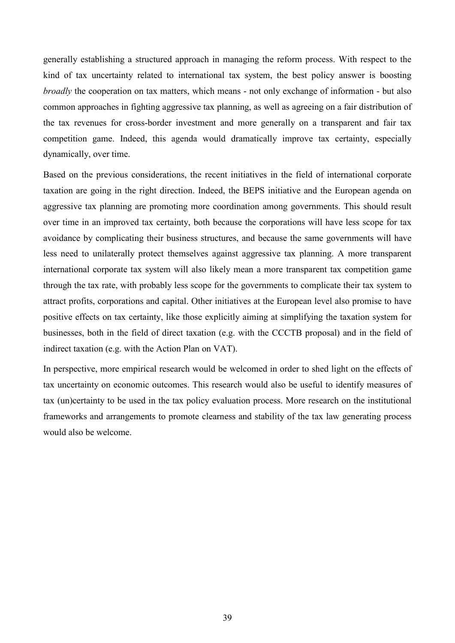generally establishing a structured approach in managing the reform process. With respect to the kind of tax uncertainty related to international tax system, the best policy answer is boosting *broadly* the cooperation on tax matters, which means - not only exchange of information - but also common approaches in fighting aggressive tax planning, as well as agreeing on a fair distribution of the tax revenues for cross-border investment and more generally on a transparent and fair tax competition game. Indeed, this agenda would dramatically improve tax certainty, especially dynamically, over time.

Based on the previous considerations, the recent initiatives in the field of international corporate taxation are going in the right direction. Indeed, the BEPS initiative and the European agenda on aggressive tax planning are promoting more coordination among governments. This should result over time in an improved tax certainty, both because the corporations will have less scope for tax avoidance by complicating their business structures, and because the same governments will have less need to unilaterally protect themselves against aggressive tax planning. A more transparent international corporate tax system will also likely mean a more transparent tax competition game through the tax rate, with probably less scope for the governments to complicate their tax system to attract profits, corporations and capital. Other initiatives at the European level also promise to have positive effects on tax certainty, like those explicitly aiming at simplifying the taxation system for businesses, both in the field of direct taxation (e.g. with the CCCTB proposal) and in the field of indirect taxation (e.g. with the Action Plan on VAT).

In perspective, more empirical research would be welcomed in order to shed light on the effects of tax uncertainty on economic outcomes. This research would also be useful to identify measures of tax (un)certainty to be used in the tax policy evaluation process. More research on the institutional frameworks and arrangements to promote clearness and stability of the tax law generating process would also be welcome.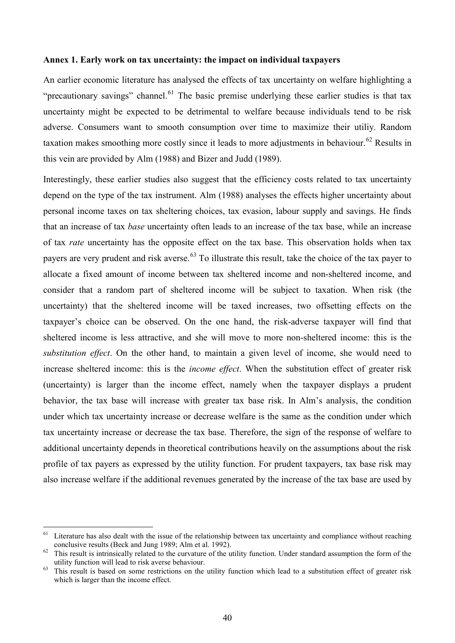#### **Annex 1. Early work on tax uncertainty: the impact on individual taxpayers**

An earlier economic literature has analysed the effects of tax uncertainty on welfare highlighting a "precautionary savings" channel.<sup>[61](#page-41-0)</sup> The basic premise underlying these earlier studies is that tax uncertainty might be expected to be detrimental to welfare because individuals tend to be risk adverse. Consumers want to smooth consumption over time to maximize their utiliy. Random taxation makes smoothing more costly since it leads to more adjustments in behaviour.<sup>[62](#page-41-1)</sup> Results in this vein are provided by Alm (1988) and Bizer and Judd (1989).

Interestingly, these earlier studies also suggest that the efficiency costs related to tax uncertainty depend on the type of the tax instrument. Alm (1988) analyses the effects higher uncertainty about personal income taxes on tax sheltering choices, tax evasion, labour supply and savings. He finds that an increase of tax *base* uncertainty often leads to an increase of the tax base, while an increase of tax *rate* uncertainty has the opposite effect on the tax base. This observation holds when tax payers are very prudent and risk averse.<sup>[63](#page-41-2)</sup> To illustrate this result, take the choice of the tax payer to allocate a fixed amount of income between tax sheltered income and non-sheltered income, and consider that a random part of sheltered income will be subject to taxation. When risk (the uncertainty) that the sheltered income will be taxed increases, two offsetting effects on the taxpayer's choice can be observed. On the one hand, the risk-adverse taxpayer will find that sheltered income is less attractive, and she will move to more non-sheltered income: this is the *substitution effect*. On the other hand, to maintain a given level of income, she would need to increase sheltered income: this is the *income effect*. When the substitution effect of greater risk (uncertainty) is larger than the income effect, namely when the taxpayer displays a prudent behavior, the tax base will increase with greater tax base risk. In Alm's analysis, the condition under which tax uncertainty increase or decrease welfare is the same as the condition under which tax uncertainty increase or decrease the tax base. Therefore, the sign of the response of welfare to additional uncertainty depends in theoretical contributions heavily on the assumptions about the risk profile of tax payers as expressed by the utility function. For prudent taxpayers, tax base risk may also increase welfare if the additional revenues generated by the increase of the tax base are used by

<span id="page-41-0"></span><sup>61</sup> Literature has also dealt with the issue of the relationship between tax uncertainty and compliance without reaching

<span id="page-41-1"></span>conclusive results (Beck and Jung 1989; Alm et al. 1992).<br><sup>62</sup> This result is intrinsically related to the curvature of the utility function. Under standard assumption the form of the utility function will lead to risk av

<span id="page-41-2"></span> $63$  This result is based on some restrictions on the utility function which lead to a substitution effect of greater risk which is larger than the income effect.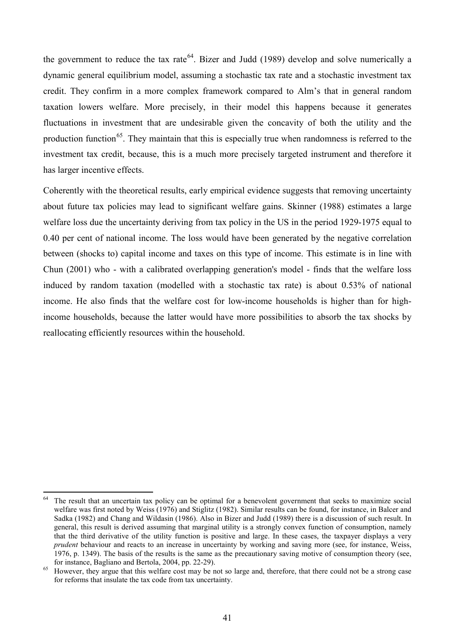the government to reduce the tax rate<sup>[64](#page-42-0)</sup>. Bizer and Judd (1989) develop and solve numerically a dynamic general equilibrium model, assuming a stochastic tax rate and a stochastic investment tax credit. They confirm in a more complex framework compared to Alm's that in general random taxation lowers welfare. More precisely, in their model this happens because it generates fluctuations in investment that are undesirable given the concavity of both the utility and the production function<sup>65</sup>. They maintain that this is especially true when randomness is referred to the investment tax credit, because, this is a much more precisely targeted instrument and therefore it has larger incentive effects.

Coherently with the theoretical results, early empirical evidence suggests that removing uncertainty about future tax policies may lead to significant welfare gains. Skinner (1988) estimates a large welfare loss due the uncertainty deriving from tax policy in the US in the period 1929-1975 equal to 0.40 per cent of national income. The loss would have been generated by the negative correlation between (shocks to) capital income and taxes on this type of income. This estimate is in line with Chun (2001) who - with a calibrated overlapping generation's model - finds that the welfare loss induced by random taxation (modelled with a stochastic tax rate) is about 0.53% of national income. He also finds that the welfare cost for low-income households is higher than for highincome households, because the latter would have more possibilities to absorb the tax shocks by reallocating efficiently resources within the household.

<span id="page-42-0"></span><sup>&</sup>lt;u>.</u> The result that an uncertain tax policy can be optimal for a benevolent government that seeks to maximize social welfare was first noted by Weiss (1976) and Stiglitz (1982). Similar results can be found, for instance, in Balcer and Sadka (1982) and Chang and Wildasin (1986). Also in Bizer and Judd (1989) there is a discussion of such result. In general, this result is derived assuming that marginal utility is a strongly convex function of consumption, namely that the third derivative of the utility function is positive and large. In these cases, the taxpayer displays a very *prudent* behaviour and reacts to an increase in uncertainty by working and saving more (see, for instance, Weiss, 1976, p. 1349). The basis of the results is the same as the precautionary saving motive of consumption theory (see,

<span id="page-42-1"></span>for instance, Bagliano and Bertola, 2004, pp. 22-29).<br><sup>65</sup> However, they argue that this welfare cost may be not so large and, therefore, that there could not be a strong case for reforms that insulate the tax code from tax uncertainty.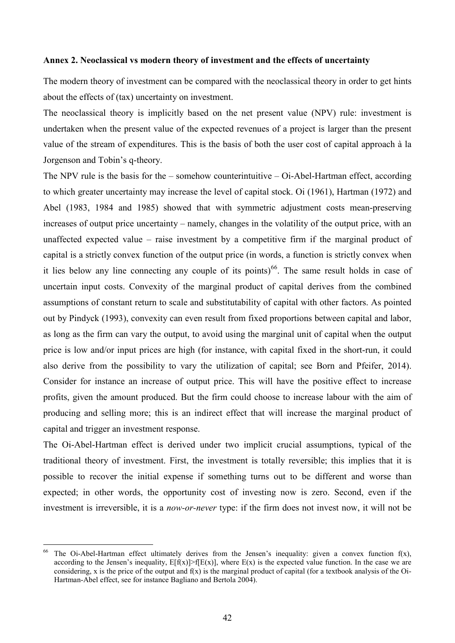#### **Annex 2. Neoclassical vs modern theory of investment and the effects of uncertainty**

The modern theory of investment can be compared with the neoclassical theory in order to get hints about the effects of (tax) uncertainty on investment.

The neoclassical theory is implicitly based on the net present value (NPV) rule: investment is undertaken when the present value of the expected revenues of a project is larger than the present value of the stream of expenditures. This is the basis of both the user cost of capital approach à la Jorgenson and Tobin's q-theory.

The NPV rule is the basis for the – somehow counterintuitive – Oi-Abel-Hartman effect, according to which greater uncertainty may increase the level of capital stock. Oi (1961), Hartman (1972) and Abel (1983, 1984 and 1985) showed that with symmetric adjustment costs mean-preserving increases of output price uncertainty – namely, changes in the volatility of the output price, with an unaffected expected value – raise investment by a competitive firm if the marginal product of capital is a strictly convex function of the output price (in words, a function is strictly convex when it lies below any line connecting any couple of its points)<sup>66</sup>. The same result holds in case of uncertain input costs. Convexity of the marginal product of capital derives from the combined assumptions of constant return to scale and substitutability of capital with other factors. As pointed out by Pindyck (1993), convexity can even result from fixed proportions between capital and labor, as long as the firm can vary the output, to avoid using the marginal unit of capital when the output price is low and/or input prices are high (for instance, with capital fixed in the short-run, it could also derive from the possibility to vary the utilization of capital; see Born and Pfeifer, 2014). Consider for instance an increase of output price. This will have the positive effect to increase profits, given the amount produced. But the firm could choose to increase labour with the aim of producing and selling more; this is an indirect effect that will increase the marginal product of capital and trigger an investment response.

The Oi-Abel-Hartman effect is derived under two implicit crucial assumptions, typical of the traditional theory of investment. First, the investment is totally reversible; this implies that it is possible to recover the initial expense if something turns out to be different and worse than expected; in other words, the opportunity cost of investing now is zero. Second, even if the investment is irreversible, it is a *now-or-never* type: if the firm does not invest now, it will not be

-

<span id="page-43-0"></span><sup>&</sup>lt;sup>66</sup> The Oi-Abel-Hartman effect ultimately derives from the Jensen's inequality: given a convex function  $f(x)$ , according to the Jensen's inequality,  $E[f(x)] > f[E(x)]$ , where  $E(x)$  is the expected value function. In the case we are considering, x is the price of the output and  $f(x)$  is the marginal product of capital (for a textbook analysis of the Oi-Hartman-Abel effect, see for instance Bagliano and Bertola 2004).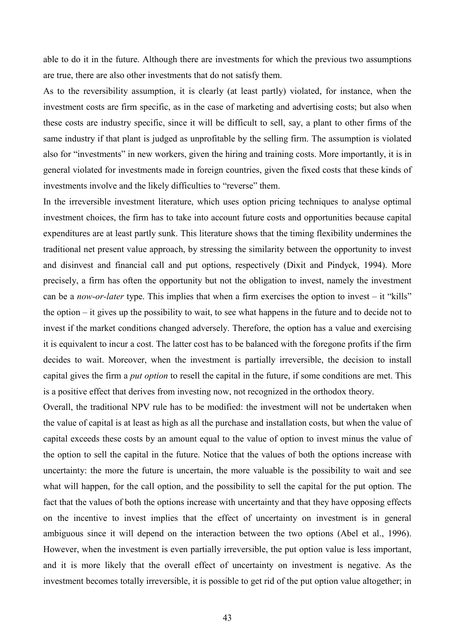able to do it in the future. Although there are investments for which the previous two assumptions are true, there are also other investments that do not satisfy them.

As to the reversibility assumption, it is clearly (at least partly) violated, for instance, when the investment costs are firm specific, as in the case of marketing and advertising costs; but also when these costs are industry specific, since it will be difficult to sell, say, a plant to other firms of the same industry if that plant is judged as unprofitable by the selling firm. The assumption is violated also for "investments" in new workers, given the hiring and training costs. More importantly, it is in general violated for investments made in foreign countries, given the fixed costs that these kinds of investments involve and the likely difficulties to "reverse" them.

In the irreversible investment literature, which uses option pricing techniques to analyse optimal investment choices, the firm has to take into account future costs and opportunities because capital expenditures are at least partly sunk. This literature shows that the timing flexibility undermines the traditional net present value approach, by stressing the similarity between the opportunity to invest and disinvest and financial call and put options, respectively (Dixit and Pindyck, 1994). More precisely, a firm has often the opportunity but not the obligation to invest, namely the investment can be a *now-or-later* type. This implies that when a firm exercises the option to invest – it "kills" the option – it gives up the possibility to wait, to see what happens in the future and to decide not to invest if the market conditions changed adversely. Therefore, the option has a value and exercising it is equivalent to incur a cost. The latter cost has to be balanced with the foregone profits if the firm decides to wait. Moreover, when the investment is partially irreversible, the decision to install capital gives the firm a *put option* to resell the capital in the future, if some conditions are met. This is a positive effect that derives from investing now, not recognized in the orthodox theory.

Overall, the traditional NPV rule has to be modified: the investment will not be undertaken when the value of capital is at least as high as all the purchase and installation costs, but when the value of capital exceeds these costs by an amount equal to the value of option to invest minus the value of the option to sell the capital in the future. Notice that the values of both the options increase with uncertainty: the more the future is uncertain, the more valuable is the possibility to wait and see what will happen, for the call option, and the possibility to sell the capital for the put option. The fact that the values of both the options increase with uncertainty and that they have opposing effects on the incentive to invest implies that the effect of uncertainty on investment is in general ambiguous since it will depend on the interaction between the two options (Abel et al., 1996). However, when the investment is even partially irreversible, the put option value is less important, and it is more likely that the overall effect of uncertainty on investment is negative. As the investment becomes totally irreversible, it is possible to get rid of the put option value altogether; in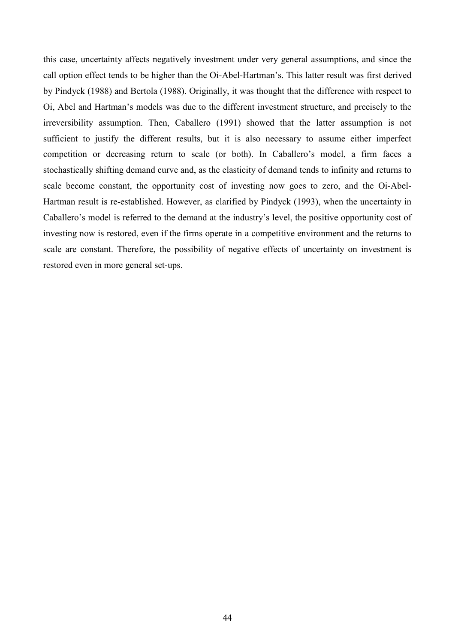this case, uncertainty affects negatively investment under very general assumptions, and since the call option effect tends to be higher than the Oi-Abel-Hartman's. This latter result was first derived by Pindyck (1988) and Bertola (1988). Originally, it was thought that the difference with respect to Oi, Abel and Hartman's models was due to the different investment structure, and precisely to the irreversibility assumption. Then, Caballero (1991) showed that the latter assumption is not sufficient to justify the different results, but it is also necessary to assume either imperfect competition or decreasing return to scale (or both). In Caballero's model, a firm faces a stochastically shifting demand curve and, as the elasticity of demand tends to infinity and returns to scale become constant, the opportunity cost of investing now goes to zero, and the Oi-Abel-Hartman result is re-established. However, as clarified by Pindyck (1993), when the uncertainty in Caballero's model is referred to the demand at the industry's level, the positive opportunity cost of investing now is restored, even if the firms operate in a competitive environment and the returns to scale are constant. Therefore, the possibility of negative effects of uncertainty on investment is restored even in more general set-ups.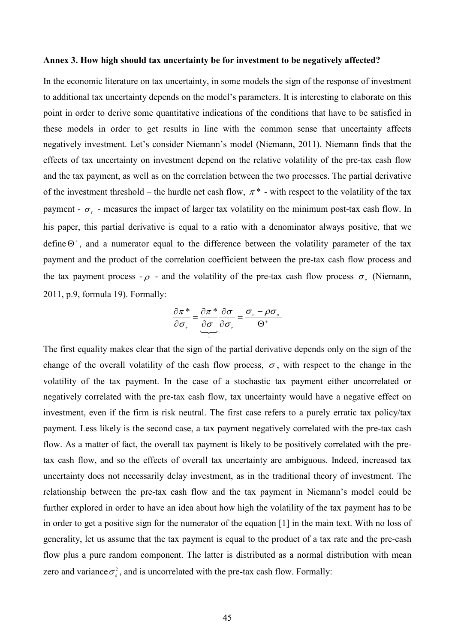#### **Annex 3. How high should tax uncertainty be for investment to be negatively affected?**

In the economic literature on tax uncertainty, in some models the sign of the response of investment to additional tax uncertainty depends on the model's parameters. It is interesting to elaborate on this point in order to derive some quantitative indications of the conditions that have to be satisfied in these models in order to get results in line with the common sense that uncertainty affects negatively investment. Let's consider Niemann's model (Niemann, 2011). Niemann finds that the effects of tax uncertainty on investment depend on the relative volatility of the pre-tax cash flow and the tax payment, as well as on the correlation between the two processes. The partial derivative of the investment threshold – the hurdle net cash flow,  $\pi^*$  - with respect to the volatility of the tax payment -  $\sigma_r$  - measures the impact of larger tax volatility on the minimum post-tax cash flow. In his paper, this partial derivative is equal to a ratio with a denominator always positive, that we define  $\Theta^*$ , and a numerator equal to the difference between the volatility parameter of the tax payment and the product of the correlation coefficient between the pre-tax cash flow process and the tax payment process  $-\rho$  - and the volatility of the pre-tax cash flow process  $\sigma_{\tau}$  (Niemann, 2011, p.9, formula 19). Formally:

$$
\frac{\partial \pi^*}{\partial \sigma_{\tau}} = \underbrace{\frac{\partial \pi^*}{\partial \sigma}}_{+} \underbrace{\frac{\partial \sigma}{\partial \sigma_{\tau}}}_{= \underbrace{\sigma_{\tau} - \rho \sigma_{\pi}}_{\Theta^+}
$$

The first equality makes clear that the sign of the partial derivative depends only on the sign of the change of the overall volatility of the cash flow process,  $\sigma$ , with respect to the change in the volatility of the tax payment. In the case of a stochastic tax payment either uncorrelated or negatively correlated with the pre-tax cash flow, tax uncertainty would have a negative effect on investment, even if the firm is risk neutral. The first case refers to a purely erratic tax policy/tax payment. Less likely is the second case, a tax payment negatively correlated with the pre-tax cash flow. As a matter of fact, the overall tax payment is likely to be positively correlated with the pretax cash flow, and so the effects of overall tax uncertainty are ambiguous. Indeed, increased tax uncertainty does not necessarily delay investment, as in the traditional theory of investment. The relationship between the pre-tax cash flow and the tax payment in Niemann's model could be further explored in order to have an idea about how high the volatility of the tax payment has to be in order to get a positive sign for the numerator of the equation [1] in the main text. With no loss of generality, let us assume that the tax payment is equal to the product of a tax rate and the pre-cash flow plus a pure random component. The latter is distributed as a normal distribution with mean zero and variance  $\sigma_z^2$ , and is uncorrelated with the pre-tax cash flow. Formally: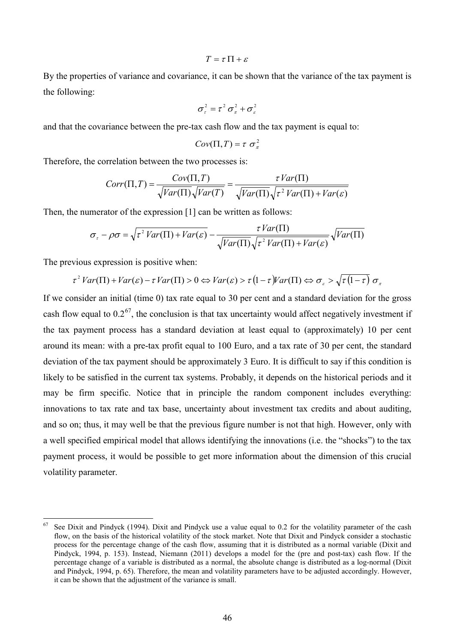#### $T = \tau \Pi + \epsilon$

By the properties of variance and covariance, it can be shown that the variance of the tax payment is the following:

$$
\sigma_{\tau}^2 = \tau^2 \sigma_{\pi}^2 + \sigma_{\epsilon}^2
$$

and that the covariance between the pre-tax cash flow and the tax payment is equal to:

$$
Cov(\Pi, T) = \tau \sigma_{\pi}^2
$$

Therefore, the correlation between the two processes is:

$$
Corr(\Pi, T) = \frac{Cov(\Pi, T)}{\sqrt{Var(\Pi)}\sqrt{Var(T)}} = \frac{\tau Var(\Pi)}{\sqrt{Var(\Pi)}\sqrt{\tau^2 Var(\Pi) + Var(\varepsilon)}}
$$

Then, the numerator of the expression [1] can be written as follows:

$$
\sigma_{\tau} - \rho \sigma = \sqrt{\tau^2 Var(\Pi) + Var(\varepsilon)} - \frac{\tau Var(\Pi)}{\sqrt{Var(\Pi)} \sqrt{\tau^2 Var(\Pi) + Var(\varepsilon)}} \sqrt{Var(\Pi)}
$$

The previous expression is positive when:

<u>.</u>

$$
\tau^2 \text{Var}(\Pi) + \text{Var}(\varepsilon) - \tau \text{Var}(\Pi) > 0 \Leftrightarrow \text{Var}(\varepsilon) > \tau \left(1 - \tau\right) \text{Var}(\Pi) \Leftrightarrow \sigma_{\varepsilon} > \sqrt{\tau \left(1 - \tau\right)} \sigma_{\pi}
$$

If we consider an initial (time 0) tax rate equal to 30 per cent and a standard deviation for the gross cash flow equal to  $0.2^{67}$ , the conclusion is that tax uncertainty would affect negatively investment if the tax payment process has a standard deviation at least equal to (approximately) 10 per cent around its mean: with a pre-tax profit equal to 100 Euro, and a tax rate of 30 per cent, the standard deviation of the tax payment should be approximately 3 Euro. It is difficult to say if this condition is likely to be satisfied in the current tax systems. Probably, it depends on the historical periods and it may be firm specific. Notice that in principle the random component includes everything: innovations to tax rate and tax base, uncertainty about investment tax credits and about auditing, and so on; thus, it may well be that the previous figure number is not that high. However, only with a well specified empirical model that allows identifying the innovations (i.e. the "shocks") to the tax payment process, it would be possible to get more information about the dimension of this crucial volatility parameter.

<span id="page-47-0"></span><sup>67</sup> See Dixit and Pindyck (1994). Dixit and Pindyck use a value equal to 0.2 for the volatility parameter of the cash flow, on the basis of the historical volatility of the stock market. Note that Dixit and Pindyck consider a stochastic process for the percentage change of the cash flow, assuming that it is distributed as a normal variable (Dixit and Pindyck, 1994, p. 153). Instead, Niemann (2011) develops a model for the (pre and post-tax) cash flow. If the percentage change of a variable is distributed as a normal, the absolute change is distributed as a log-normal (Dixit and Pindyck, 1994, p. 65). Therefore, the mean and volatility parameters have to be adjusted accordingly. However, it can be shown that the adjustment of the variance is small.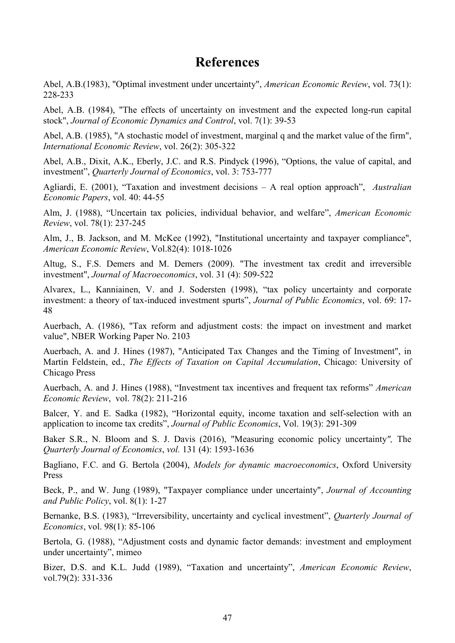### **References**

Abel, A.B.(1983), "Optimal investment under uncertainty", *American Economic Review*, vol. 73(1): 228-233

Abel, A.B. (1984), "The effects of uncertainty on investment and the expected long-run capital stock", *Journal of Economic Dynamics and Control*, vol. 7(1): 39-53

Abel, A.B. (1985), "A stochastic model of investment, marginal q and the market value of the firm", *International Economic Review*, vol. 26(2): 305-322

Abel, A.B., Dixit, A.K., Eberly, J.C. and R.S. Pindyck (1996), "Options, the value of capital, and investment", *Quarterly Journal of Economics*, vol. 3: 753-777

Agliardi, E. (2001), "Taxation and investment decisions – A real option approach", *Australian Economic Papers*, vol. 40: 44-55

Alm, J. (1988), "Uncertain tax policies, individual behavior, and welfare", *American Economic Review*, vol. 78(1): 237-245

Alm, J., B. Jackson, and M. McKee (1992), "Institutional uncertainty and taxpayer compliance", *American Economic Review*, Vol.82(4): 1018-1026

Altug, S., F.S. Demers and M. Demers (2009). "The investment tax credit and irreversible investment", *Journal of Macroeconomics*, vol. 31 (4): 509-522

Alvarex, L., Kanniainen, V. and J. Sodersten (1998), "tax policy uncertainty and corporate investment: a theory of tax-induced investment spurts", *Journal of Public Economics*, vol. 69: 17- 48

Auerbach, A. (1986), "Tax reform and adjustment costs: the impact on investment and market value", NBER Working Paper No. 2103

Auerbach, A. and J. Hines (1987), "Anticipated Tax Changes and the Timing of Investment", in Martin Feldstein, ed., *The Effects of Taxation on Capital Accumulation*, Chicago: University of Chicago Press

Auerbach, A. and J. Hines (1988), "Investment tax incentives and frequent tax reforms" *American Economic Review*, vol. 78(2): 211-216

Balcer, Y. and E. Sadka (1982), "Horizontal equity, income taxation and self-selection with an application to income tax credits", *Journal of Public Economics*, Vol. 19(3): 291-309

Baker S.R., N. Bloom and S. J. Davis (2016), "Measuring economic policy uncertainty*",* The *Quarterly Journal of Economics*, *vol.* 131 (4): 1593-1636

Bagliano, F.C. and G. Bertola (2004), *Models for dynamic macroeconomics*, Oxford University Press

Beck, P., and W. Jung (1989), "Taxpayer compliance under uncertainty", *Journal of Accounting and Public Policy*, vol. 8(1): 1-27

Bernanke, B.S. (1983), "Irreversibility, uncertainty and cyclical investment", *Quarterly Journal of Economics*, vol. 98(1): 85-106

Bertola, G. (1988), "Adjustment costs and dynamic factor demands: investment and employment under uncertainty", mimeo

Bizer, D.S. and K.L. Judd (1989), "Taxation and uncertainty", *American Economic Review*, vol.79(2): 331-336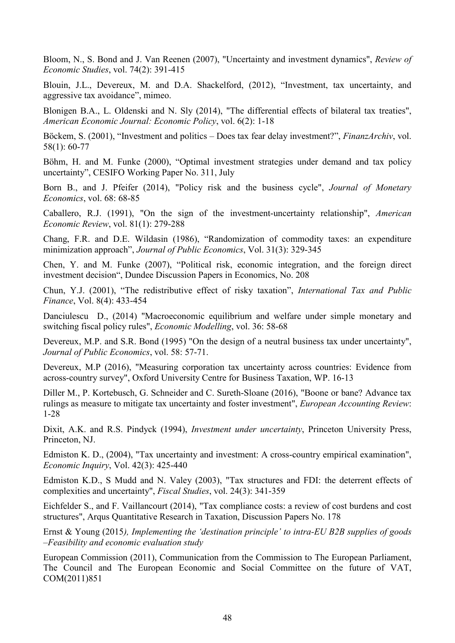Bloom, N., S. Bond and J. Van Reenen (2007), "Uncertainty and investment dynamics", *Review of Economic Studies*, vol. 74(2): 391-415

Blouin, J.L., Devereux, M. and D.A. Shackelford, (2012), "Investment, tax uncertainty, and aggressive tax avoidance", mimeo.

Blonigen B.A., L. Oldenski and N. Sly (2014), "The differential effects of bilateral tax treaties", *American Economic Journal: Economic Policy*, vol. 6(2): 1-18

Böckem, S. (2001), "Investment and politics – Does tax fear delay investment?", *FinanzArchiv*, vol. 58(1): 60-77

Böhm, H. and M. Funke (2000), "Optimal investment strategies under demand and tax policy uncertainty", CESIFO Working Paper No. 311, July

Born B., and J. Pfeifer (2014), "Policy risk and the business cycle", *Journal of Monetary Economics*, vol. 68: 68-85

Caballero, R.J. (1991), "On the sign of the investment-uncertainty relationship", *American Economic Review*, vol. 81(1): 279-288

Chang, F.R. and D.E. Wildasin (1986), "Randomization of commodity taxes: an expenditure minimization approach", *Journal of Public Economics*, Vol. 31(3): 329-345

Chen, Y. and M. Funke (2007), "Political risk, economic integration, and the foreign direct investment decision", Dundee Discussion Papers in Economics, No. 208

[Chun,](https://springerlink3.metapress.com/content/?Author=Young+Jun+Chun) Y.J. (2001), "The redistributive effect of risky taxation", *[International Tax and Public](https://springerlink3.metapress.com/content/0927-5940/)  [Finance](https://springerlink3.metapress.com/content/0927-5940/)*, [Vol. 8\(4\)](https://springerlink3.metapress.com/content/0927-5940/8/4/): 433-454

Danciulescu D., (2014) "Macroeconomic equilibrium and welfare under simple monetary and switching fiscal policy rules", *Economic Modelling*, vol. 36: 58-68

Devereux, M.P. and S.R. Bond (1995) "On the design of a neutral business tax under uncertainty", *Journal of Public Economics*, vol. 58: 57-71.

Devereux, M.P (2016), "Measuring corporation tax uncertainty across countries: Evidence from across-country survey", Oxford University Centre for Business Taxation, WP. 16-13

Diller M., P. Kortebusch, G. Schneider and C. Sureth-Sloane (2016), "Boone or bane? Advance tax rulings as measure to mitigate tax uncertainty and foster investment", *European Accounting Review*: 1-28

Dixit, A.K. and R.S. Pindyck (1994), *Investment under uncertainty*, Princeton University Press, Princeton, NJ.

Edmiston K. D., (2004), "Tax uncertainty and investment: A cross-country empirical examination", *Economic Inquiry*, Vol. 42(3): 425-440

Edmiston K.D., S Mudd and N. Valey (2003), "Tax structures and FDI: the deterrent effects of complexities and uncertainty", *Fiscal Studies*, vol. 24(3): 341-359

Eichfelder S., and F. Vaillancourt (2014), "Tax compliance costs: a review of cost burdens and cost structures", Arqus Quantitative Research in Taxation, Discussion Papers No. 178

Ernst & Young (2015*), Implementing the 'destination principle' to intra-EU B2B supplies of goods –Feasibility and economic evaluation study*

European Commission (2011), Communication from the Commission to The European Parliament, The Council and The European Economic and Social Committee on the future of VAT, COM(2011)851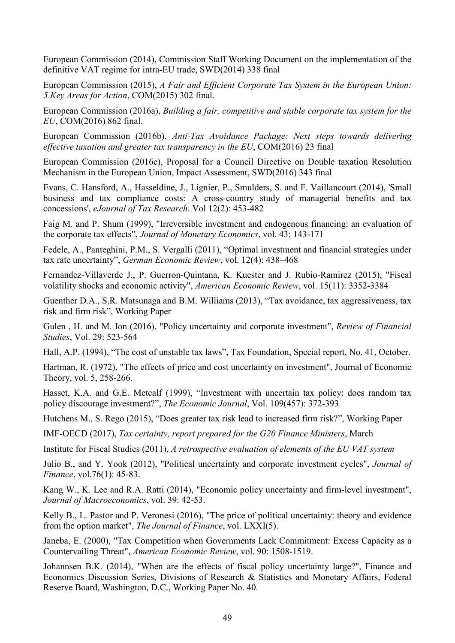European Commission (2014), Commission Staff Working Document on the implementation of the definitive VAT regime for intra-EU trade, SWD(2014) 338 final

European Commission (2015), *A Fair and Efficient Corporate Tax System in the European Union: 5 Key Areas for Action*, COM(2015) 302 final.

European Commission (2016a), *Building a fair, competitive and stable corporate tax system for the EU*, COM(2016) 862 final.

European Commission (2016b), *Anti-Tax Avoidance Package: Next steps towards delivering effective taxation and greater tax transparency in the EU*, COM(2016) 23 final

European Commission (2016c), Proposal for a Council Directive on Double taxation Resolution Mechanism in the European Union, Impact Assessment, SWD(2016) 343 final

Evans, C. Hansford, A., Hasseldine, J., Lignier, P., Smulders, S. and F. Vaillancourt (2014), 'Small business and tax compliance costs: A cross-country study of managerial benefits and tax concessions', *eJournal of Tax Research*. Vol 12(2): 453-482

Faig M. and P. Shum (1999), "Irreversible investment and endogenous financing: an evaluation of the corporate tax effects", *Journal of Monetary Economics*, vol. 43: 143-171

Fedele, A., Panteghini, P.M., S. Vergalli (2011), "Optimal investment and financial strategies under tax rate uncertainty", *German Economic Review*, vol. 12(4): 438–468

Fernandez-Villaverde J., P. Guerron-Quintana, K. Kuester and J. Rubio-Ramirez (2015), "Fiscal volatility shocks and economic activity", *American Economic Review*, vol. 15(11): 3352-3384

Guenther D.A., S.R. Matsunaga and B.M. Williams (2013), "Tax avoidance, tax aggressiveness, tax risk and firm risk", Working Paper

Gulen , H. and M. Ion (2016), "Policy uncertainty and corporate investment", *Review of Financial Studies*, Vol. 29: 523-564

Hall, A.P. (1994), "The cost of unstable tax laws", Tax Foundation, Special report, No. 41, October.

Hartman, R. (1972), "The effects of price and cost uncertainty on investment", Journal of Economic Theory, vol. 5, 258-266.

Hasset, K.A. and G.E. Metcalf (1999), "Investment with uncertain tax policy: does random tax policy discourage investment?", *The Economic Journal*, Vol. 109(457): 372-393

Hutchens M., S. Rego (2015), "Does greater tax risk lead to increased firm risk?", Working Paper

IMF-OECD (2017), *Tax certainty, report prepared for the G20 Finance Ministers*, March

Institute for Fiscal Studies (2011), *A retrospective evaluation of elements of the EU VAT system*

Julio B., and Y. Yook (2012), "Political uncertainty and corporate investment cycles", *Journal of Finance*, vol.76(1): 45-83.

Kang W., K. Lee and R.A. Ratti (2014), "Economic policy uncertainty and firm-level investment", *Journal of Macroeconomics*, vol. 39: 42-53.

Kelly B., L. Pastor and P. Veronesi (2016), "The price of political uncertainty: theory and evidence from the option market", *The Journal of Finance*, vol. LXXI(5).

Janeba, E. (2000), "Tax Competition when Governments Lack Commitment: Excess Capacity as a Countervailing Threat", *[American Economic Review](http://www.aeaweb.org/aer/)*, vol. 90: 1508-1519.

Johannsen B.K. (2014), "When are the effects of fiscal policy uncertainty large?", Finance and Economics Discussion Series, Divisions of Research & Statistics and Monetary Affairs, Federal Reserve Board, Washington, D.C., Working Paper No. 40.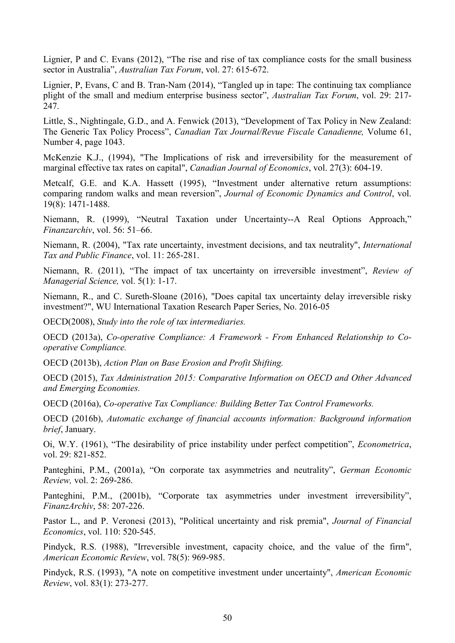Lignier, P and C. Evans (2012), "The rise and rise of tax compliance costs for the small business sector in Australia", *Australian Tax Forum*, vol. 27: 615-672.

Lignier, P, Evans, C and B. Tran-Nam (2014), "Tangled up in tape: The continuing tax compliance plight of the small and medium enterprise business sector", *Australian Tax Forum*, vol. 29: 217- 247.

Little, S., Nightingale, G.D., and A. Fenwick (2013), "Development of Tax Policy in New Zealand: The Generic Tax Policy Process", *Canadian Tax Journal/Revue Fiscale Canadienne,* Volume 61, Number 4, page 1043.

McKenzie K.J., (1994), "The Implications of risk and irreversibility for the measurement of marginal effective tax rates on capital", *Canadian Journal of Economics*, vol. 27(3): 604-19.

Metcalf, G.E. and K.A. Hassett (1995), "Investment under alternative return assumptions: comparing random walks and mean reversion", *Journal of Economic Dynamics and Control*, vol. 19(8): 1471-1488.

Niemann, R. (1999), "Neutral Taxation under Uncertainty--A Real Options Approach," *Finanzarchiv*, vol. 56: 51–66.

Niemann, R. (2004), "Tax rate uncertainty, investment decisions, and tax neutrality", *International Tax and Public Finance*, vol. 11: 265-281.

Niemann, R. (2011), "The impact of tax uncertainty on irreversible investment", *Review of Managerial Science,* vol. 5(1): 1-17.

Niemann, R., and C. Sureth-Sloane (2016), "Does capital tax uncertainty delay irreversible risky investment?", WU International Taxation Research Paper Series, No. 2016-05

OECD(2008), *Study into the role of tax intermediaries.* 

OECD (2013a), *Co-operative Compliance: A Framework - From Enhanced Relationship to Cooperative Compliance.*

OECD (2013b), *Action Plan on Base Erosion and Profit Shifting.*

OECD (2015), *Tax Administration 2015: Comparative Information on OECD and Other Advanced and Emerging Economies.* 

OECD (2016a), *Co-operative Tax Compliance: Building Better Tax Control Frameworks.*

OECD (2016b), *Automatic exchange of financial accounts information: Background information brief*, January.

Oi, W.Y. (1961), "The desirability of price instability under perfect competition", *Econometrica*, vol. 29: 821-852.

Panteghini, P.M., (2001a), "On corporate tax asymmetries and neutrality", *German Economic Review,* vol. 2: 269-286.

Panteghini, P.M., (2001b), "Corporate tax asymmetries under investment irreversibility", *FinanzArchiv*, 58: 207-226.

Pastor L., and P. Veronesi (2013), "Political uncertainty and risk premia", *Journal of Financial Economics*, vol. 110: 520-545.

Pindyck, R.S. (1988), "Irreversible investment, capacity choice, and the value of the firm", *American Economic Review*, vol. 78(5): 969-985.

Pindyck, R.S. (1993), "A note on competitive investment under uncertainty", *American Economic Review*, vol. 83(1): 273-277.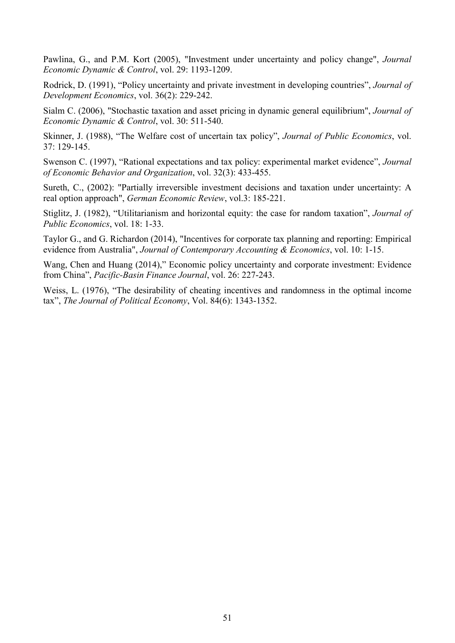Pawlina, G., and P.M. Kort (2005), "Investment under uncertainty and policy change", *Journal Economic Dynamic & Control*, vol. 29: 1193-1209.

Rodrick, D. (1991), "Policy uncertainty and private investment in developing countries", *Journal of Development Economics*, vol. 36(2): 229-242.

Sialm C. (2006), "Stochastic taxation and asset pricing in dynamic general equilibrium", *Journal of Economic Dynamic & Control*, vol. 30: 511-540.

Skinner, J. (1988), "The Welfare cost of uncertain tax policy", *Journal of Public Economics*, vol. 37: 129-145.

Swenson C. (1997), "Rational expectations and tax policy: experimental market evidence", *Journal of Economic Behavior and Organization*, vol. 32(3): 433-455.

Sureth, C., (2002): "Partially irreversible investment decisions and taxation under uncertainty: A real option approach", *German Economic Review*, vol.3: 185-221.

Stiglitz, J. (1982), "Utilitarianism and horizontal equity: the case for random taxation", *Journal of Public Economics*, vol. 18: 1-33.

Taylor G., and G. Richardon (2014), "Incentives for corporate tax planning and reporting: Empirical evidence from Australia", *Journal of Contemporary Accounting & Economics*, vol. 10: 1-15.

Wang, Chen and Huang (2014)," Economic policy uncertainty and corporate investment: Evidence from China", *[Pacific-Basin Finance Journal](https://ideas.repec.org/s/eee/pacfin.html)*, vol. 26: 227-243.

Weiss, L. (1976), "The desirability of cheating incentives and randomness in the optimal income tax", *The Journal of Political Economy*, Vol. 84(6): 1343-1352.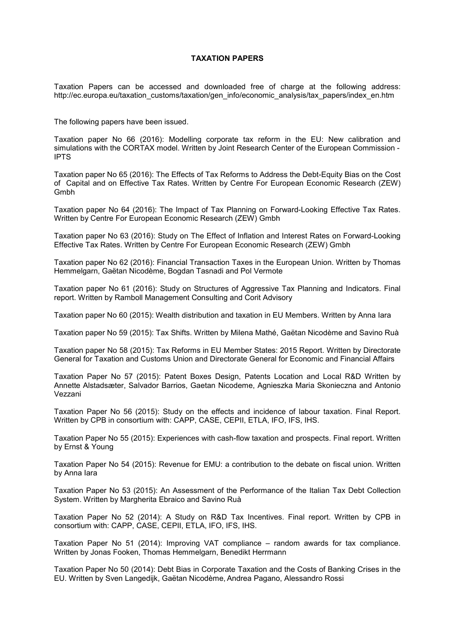#### **TAXATION PAPERS**

Taxation Papers can be accessed and downloaded free of charge at the following address: http://ec.europa.eu/taxation\_customs/taxation/gen\_info/economic\_analysis/tax\_papers/index\_en.htm

The following papers have been issued.

Taxation paper No 66 (2016): Modelling corporate tax reform in the EU: New calibration and simulations with the CORTAX model. Written by Joint Research Center of the European Commission - IPTS

Taxation paper No 65 (2016): The Effects of Tax Reforms to Address the Debt-Equity Bias on the Cost of Capital and on Effective Tax Rates. Written by Centre For European Economic Research (ZEW) Gmbh

Taxation paper No 64 (2016): The Impact of Tax Planning on Forward-Looking Effective Tax Rates. Written by Centre For European Economic Research (ZEW) Gmbh

Taxation paper No 63 (2016): Study on The Effect of Inflation and Interest Rates on Forward-Looking Effective Tax Rates. Written by Centre For European Economic Research (ZEW) Gmbh

Taxation paper No 62 (2016): Financial Transaction Taxes in the European Union. Written by Thomas Hemmelgarn, Gaëtan Nicodème, Bogdan Tasnadi and Pol Vermote

Taxation paper No 61 (2016): Study on Structures of Aggressive Tax Planning and Indicators. Final report. Written by Ramboll Management Consulting and Corit Advisory

Taxation paper No 60 (2015): Wealth distribution and taxation in EU Members. Written by Anna Iara

Taxation paper No 59 (2015): Tax Shifts. Written by Milena Mathé, Gaëtan Nicodème and Savino Ruà

Taxation paper No 58 (2015): Tax Reforms in EU Member States: 2015 Report. Written by Directorate General for Taxation and Customs Union and Directorate General for Economic and Financial Affairs

Taxation Paper No 57 (2015): Patent Boxes Design, Patents Location and Local R&D Written by Annette Alstadsæter, Salvador Barrios, Gaetan Nicodeme, Agnieszka Maria Skonieczna and Antonio Vezzani

Taxation Paper No 56 (2015): Study on the effects and incidence of labour taxation. Final Report. Written by CPB in consortium with: CAPP, CASE, CEPII, ETLA, IFO, IFS, IHS.

Taxation Paper No 55 (2015): Experiences with cash-flow taxation and prospects. Final report. Written by Ernst & Young

Taxation Paper No 54 (2015): Revenue for EMU: a contribution to the debate on fiscal union. Written by Anna Iara

Taxation Paper No 53 (2015): An Assessment of the Performance of the Italian Tax Debt Collection System. Written by Margherita Ebraico and Savino Ruà

Taxation Paper No 52 (2014): A Study on R&D Tax Incentives. Final report. Written by CPB in consortium with: CAPP, CASE, CEPII, ETLA, IFO, IFS, IHS.

Taxation Paper No 51 (2014): Improving VAT compliance – random awards for tax compliance. Written by Jonas Fooken, Thomas Hemmelgarn, Benedikt Herrmann

Taxation Paper No 50 (2014): Debt Bias in Corporate Taxation and the Costs of Banking Crises in the EU. Written by Sven Langedijk, Gaëtan Nicodème, Andrea Pagano, Alessandro Rossi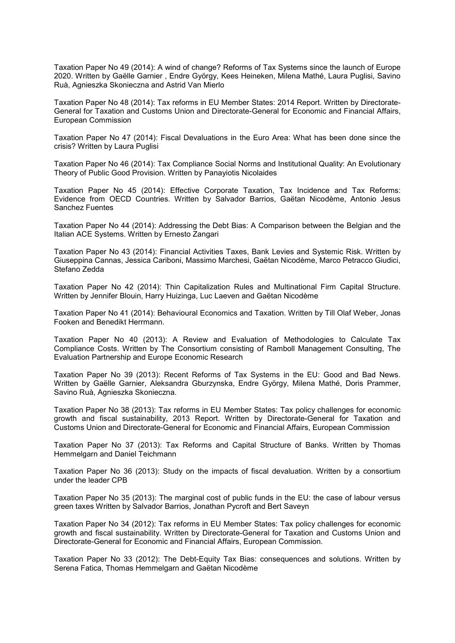Taxation Paper No 49 (2014): A wind of change? Reforms of Tax Systems since the launch of Europe 2020. Written by Gaëlle Garnier , Endre György, Kees Heineken, Milena Mathé, Laura Puglisi, Savino Ruà, Agnieszka Skonieczna and Astrid Van Mierlo

Taxation Paper No 48 (2014): Tax reforms in EU Member States: 2014 Report. Written by Directorate-General for Taxation and Customs Union and Directorate-General for Economic and Financial Affairs, European Commission

Taxation Paper No 47 (2014): Fiscal Devaluations in the Euro Area: What has been done since the crisis? Written by Laura Puglisi

Taxation Paper No 46 (2014): Tax Compliance Social Norms and Institutional Quality: An Evolutionary Theory of Public Good Provision. Written by Panayiotis Nicolaides

Taxation Paper No 45 (2014): Effective Corporate Taxation, Tax Incidence and Tax Reforms: Evidence from OECD Countries. Written by Salvador Barrios, Gaëtan Nicodème, Antonio Jesus Sanchez Fuentes

Taxation Paper No 44 (2014): Addressing the Debt Bias: A Comparison between the Belgian and the Italian ACE Systems. Written by Ernesto Zangari

Taxation Paper No 43 (2014): Financial Activities Taxes, Bank Levies and Systemic Risk. Written by Giuseppina Cannas, Jessica Cariboni, Massimo Marchesi, Gaëtan Nicodème, Marco Petracco Giudici, Stefano Zedda

Taxation Paper No 42 (2014): Thin Capitalization Rules and Multinational Firm Capital Structure. Written by Jennifer Blouin, Harry Huizinga, Luc Laeven and Gaëtan Nicodème

Taxation Paper No 41 (2014): Behavioural Economics and Taxation. Written by Till Olaf Weber, Jonas Fooken and Benedikt Herrmann.

Taxation Paper No 40 (2013): A Review and Evaluation of Methodologies to Calculate Tax Compliance Costs. Written by The Consortium consisting of Ramboll Management Consulting, The Evaluation Partnership and Europe Economic Research

Taxation Paper No 39 (2013): Recent Reforms of Tax Systems in the EU: Good and Bad News. Written by Gaëlle Garnier, Aleksandra Gburzynska, Endre György, Milena Mathé, Doris Prammer, Savino Ruà, Agnieszka Skonieczna.

Taxation Paper No 38 (2013): Tax reforms in EU Member States: Tax policy challenges for economic growth and fiscal sustainability, 2013 Report. Written by Directorate-General for Taxation and Customs Union and Directorate-General for Economic and Financial Affairs, European Commission

Taxation Paper No 37 (2013): Tax Reforms and Capital Structure of Banks. Written by Thomas Hemmelgarn and Daniel Teichmann

Taxation Paper No 36 (2013): Study on the impacts of fiscal devaluation. Written by a consortium under the leader CPB

Taxation Paper No 35 (2013): The marginal cost of public funds in the EU: the case of labour versus green taxes Written by Salvador Barrios, Jonathan Pycroft and Bert Saveyn

Taxation Paper No 34 (2012): Tax reforms in EU Member States: Tax policy challenges for economic growth and fiscal sustainability. Written by Directorate-General for Taxation and Customs Union and Directorate-General for Economic and Financial Affairs, European Commission.

Taxation Paper No 33 (2012): The Debt-Equity Tax Bias: consequences and solutions. Written by Serena Fatica, Thomas Hemmelgarn and Gaëtan Nicodème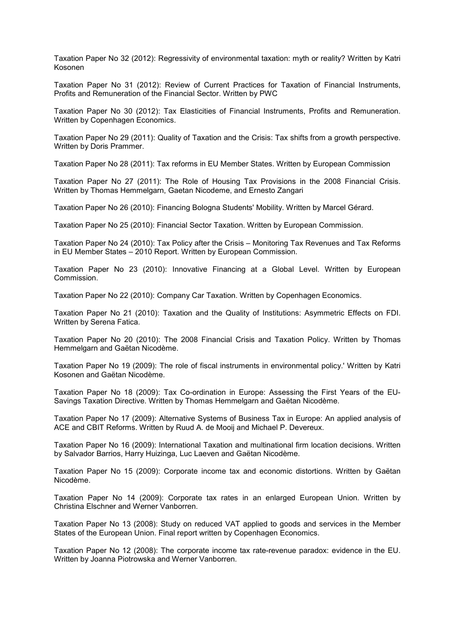Taxation Paper No 32 (2012): Regressivity of environmental taxation: myth or reality? Written by Katri Kosonen

Taxation Paper No 31 (2012): Review of Current Practices for Taxation of Financial Instruments, Profits and Remuneration of the Financial Sector. Written by PWC

Taxation Paper No 30 (2012): Tax Elasticities of Financial Instruments, Profits and Remuneration. Written by Copenhagen Economics.

Taxation Paper No 29 (2011): Quality of Taxation and the Crisis: Tax shifts from a growth perspective. Written by Doris Prammer.

Taxation Paper No 28 (2011): Tax reforms in EU Member States. Written by European Commission

Taxation Paper No 27 (2011): The Role of Housing Tax Provisions in the 2008 Financial Crisis. Written by Thomas Hemmelgarn, Gaetan Nicodeme, and Ernesto Zangari

Taxation Paper No 26 (2010): Financing Bologna Students' Mobility. Written by Marcel Gérard.

Taxation Paper No 25 (2010): Financial Sector Taxation. Written by European Commission.

Taxation Paper No 24 (2010): Tax Policy after the Crisis – Monitoring Tax Revenues and Tax Reforms in EU Member States – 2010 Report. Written by European Commission.

Taxation Paper No 23 (2010): Innovative Financing at a Global Level. Written by European Commission.

Taxation Paper No 22 (2010): Company Car Taxation. Written by Copenhagen Economics.

Taxation Paper No 21 (2010): Taxation and the Quality of Institutions: Asymmetric Effects on FDI. Written by Serena Fatica.

Taxation Paper No 20 (2010): The 2008 Financial Crisis and Taxation Policy. Written by Thomas Hemmelgarn and Gaëtan Nicodème.

Taxation Paper No 19 (2009): The role of fiscal instruments in environmental policy.' Written by Katri Kosonen and Gaëtan Nicodème.

Taxation Paper No 18 (2009): Tax Co-ordination in Europe: Assessing the First Years of the EU-Savings Taxation Directive. Written by Thomas Hemmelgarn and Gaëtan Nicodème.

Taxation Paper No 17 (2009): Alternative Systems of Business Tax in Europe: An applied analysis of ACE and CBIT Reforms. Written by Ruud A. de Mooij and Michael P. Devereux.

Taxation Paper No 16 (2009): International Taxation and multinational firm location decisions. Written by Salvador Barrios, Harry Huizinga, Luc Laeven and Gaëtan Nicodème.

Taxation Paper No 15 (2009): Corporate income tax and economic distortions. Written by Gaëtan Nicodème.

Taxation Paper No 14 (2009): Corporate tax rates in an enlarged European Union. Written by Christina Elschner and Werner Vanborren.

Taxation Paper No 13 (2008): Study on reduced VAT applied to goods and services in the Member States of the European Union. Final report written by Copenhagen Economics.

Taxation Paper No 12 (2008): The corporate income tax rate-revenue paradox: evidence in the EU. Written by Joanna Piotrowska and Werner Vanborren.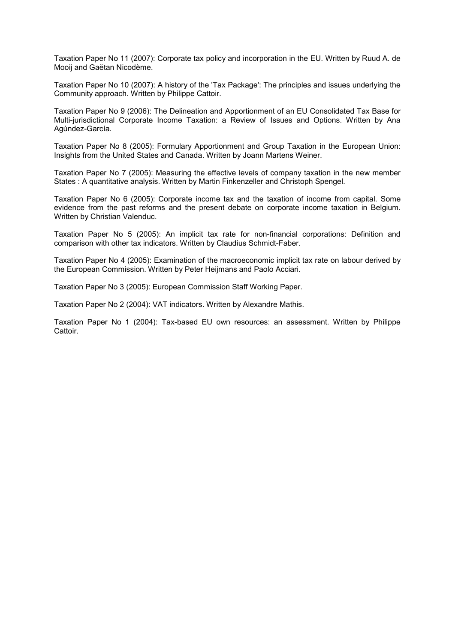Taxation Paper No 11 (2007): Corporate tax policy and incorporation in the EU. Written by Ruud A. de Mooij and Gaëtan Nicodème.

Taxation Paper No 10 (2007): A history of the 'Tax Package': The principles and issues underlying the Community approach. Written by Philippe Cattoir.

Taxation Paper No 9 (2006): The Delineation and Apportionment of an EU Consolidated Tax Base for Multi-jurisdictional Corporate Income Taxation: a Review of Issues and Options. Written by Ana Agúndez-García.

Taxation Paper No 8 (2005): Formulary Apportionment and Group Taxation in the European Union: Insights from the United States and Canada. Written by Joann Martens Weiner.

Taxation Paper No 7 (2005): Measuring the effective levels of company taxation in the new member States : A quantitative analysis. Written by Martin Finkenzeller and Christoph Spengel.

Taxation Paper No 6 (2005): Corporate income tax and the taxation of income from capital. Some evidence from the past reforms and the present debate on corporate income taxation in Belgium. Written by Christian Valenduc.

Taxation Paper No 5 (2005): An implicit tax rate for non-financial corporations: Definition and comparison with other tax indicators. Written by Claudius Schmidt-Faber.

Taxation Paper No 4 (2005): Examination of the macroeconomic implicit tax rate on labour derived by the European Commission. Written by Peter Heijmans and Paolo Acciari.

Taxation Paper No 3 (2005): European Commission Staff Working Paper.

Taxation Paper No 2 (2004): VAT indicators. Written by Alexandre Mathis.

Taxation Paper No 1 (2004): Tax-based EU own resources: an assessment. Written by Philippe Cattoir.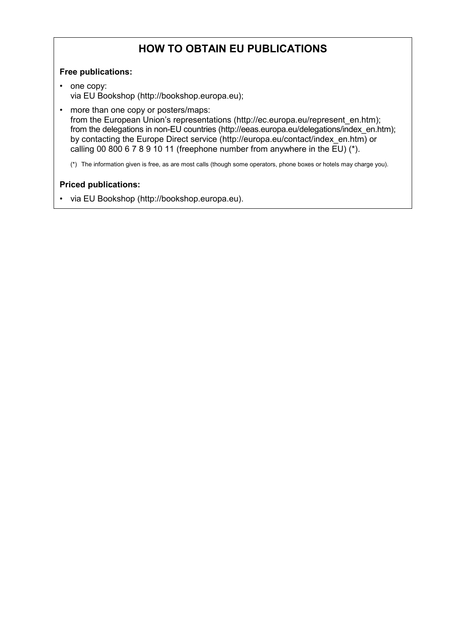### **HOW TO OBTAIN EU PUBLICATIONS**

### **Free publications:**

- one copy: via EU Bookshop (http://bookshop.europa.eu);
- more than one copy or posters/maps: from the European Union's representations (http://ec.europa.eu/represent\_en.htm); from the delegations in non-EU countries (http://eeas.europa.eu/delegations/index\_en.htm); by contacting the Europe Direct service (http://europa.eu/contact/index\_en.htm) or calling 00 800 6 7 8 9 10 11 (freephone number from anywhere in the EU) (\*).

(\*) The information given is free, as are most calls (though some operators, phone boxes or hotels may charge you).

### **Priced publications:**

• via EU Bookshop (http://bookshop.europa.eu).